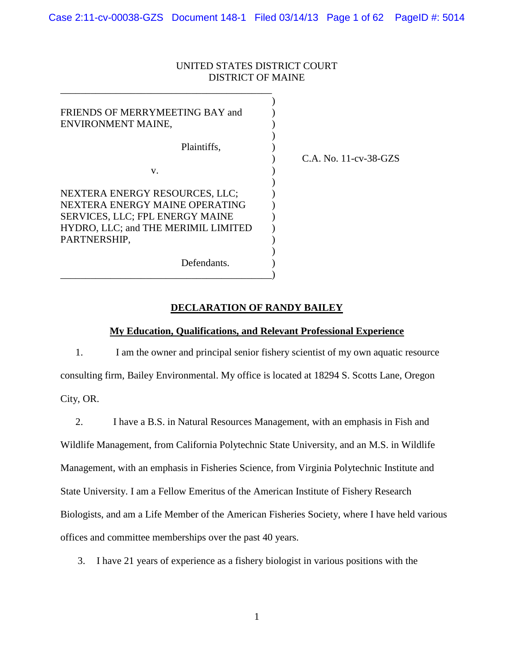# UNITED STATES DISTRICT COURT DISTRICT OF MAINE

| FRIENDS OF MERRYMEETING BAY and<br>ENVIRONMENT MAINE,                                                                                                      |                       |
|------------------------------------------------------------------------------------------------------------------------------------------------------------|-----------------------|
| Plaintiffs,                                                                                                                                                | C.A. No. 11-cv-38-GZS |
| V.                                                                                                                                                         |                       |
| NEXTERA ENERGY RESOURCES, LLC;<br>NEXTERA ENERGY MAINE OPERATING<br>SERVICES, LLC; FPL ENERGY MAINE<br>HYDRO, LLC; and THE MERIMIL LIMITED<br>PARTNERSHIP, |                       |
| Defendants.                                                                                                                                                |                       |

\_\_\_\_\_\_\_\_\_\_\_\_\_\_\_\_\_\_\_\_\_\_\_\_\_\_\_\_\_\_\_\_\_\_\_\_\_\_\_\_\_\_

**DECLARATION OF RANDY BAILEY**

## **My Education, Qualifications, and Relevant Professional Experience**

1. I am the owner and principal senior fishery scientist of my own aquatic resource consulting firm, Bailey Environmental. My office is located at 18294 S. Scotts Lane, Oregon City, OR.

2. I have a B.S. in Natural Resources Management, with an emphasis in Fish and Wildlife Management, from California Polytechnic State University, and an M.S. in Wildlife Management, with an emphasis in Fisheries Science, from Virginia Polytechnic Institute and State University. I am a Fellow Emeritus of the American Institute of Fishery Research Biologists, and am a Life Member of the American Fisheries Society, where I have held various offices and committee memberships over the past 40 years.

3. I have 21 years of experience as a fishery biologist in various positions with the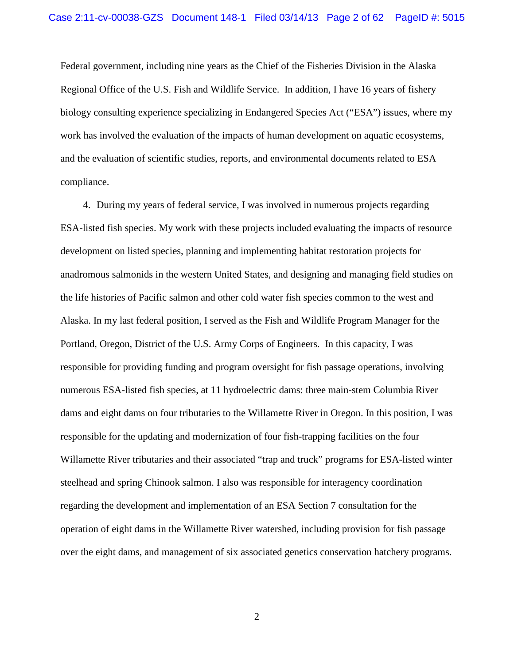Federal government, including nine years as the Chief of the Fisheries Division in the Alaska Regional Office of the U.S. Fish and Wildlife Service. In addition, I have 16 years of fishery biology consulting experience specializing in Endangered Species Act ("ESA") issues, where my work has involved the evaluation of the impacts of human development on aquatic ecosystems, and the evaluation of scientific studies, reports, and environmental documents related to ESA compliance.

4. During my years of federal service, I was involved in numerous projects regarding ESA-listed fish species. My work with these projects included evaluating the impacts of resource development on listed species, planning and implementing habitat restoration projects for anadromous salmonids in the western United States, and designing and managing field studies on the life histories of Pacific salmon and other cold water fish species common to the west and Alaska. In my last federal position, I served as the Fish and Wildlife Program Manager for the Portland, Oregon, District of the U.S. Army Corps of Engineers. In this capacity, I was responsible for providing funding and program oversight for fish passage operations, involving numerous ESA-listed fish species, at 11 hydroelectric dams: three main-stem Columbia River dams and eight dams on four tributaries to the Willamette River in Oregon. In this position, I was responsible for the updating and modernization of four fish-trapping facilities on the four Willamette River tributaries and their associated "trap and truck" programs for ESA-listed winter steelhead and spring Chinook salmon. I also was responsible for interagency coordination regarding the development and implementation of an ESA Section 7 consultation for the operation of eight dams in the Willamette River watershed, including provision for fish passage over the eight dams, and management of six associated genetics conservation hatchery programs.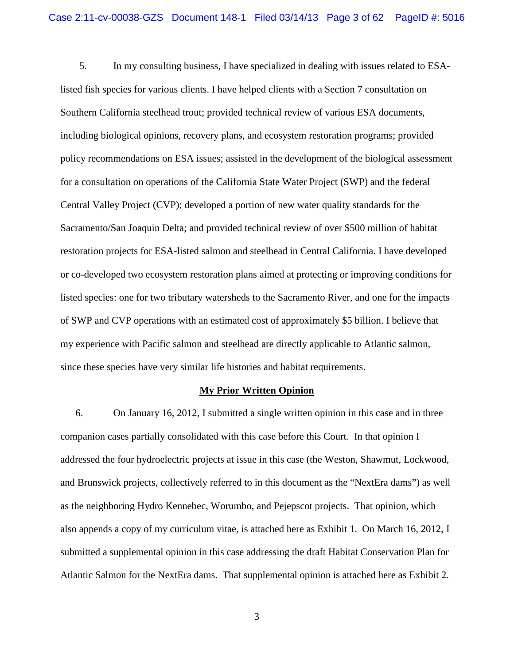5. In my consulting business, I have specialized in dealing with issues related to ESAlisted fish species for various clients. I have helped clients with a Section 7 consultation on Southern California steelhead trout; provided technical review of various ESA documents, including biological opinions, recovery plans, and ecosystem restoration programs; provided policy recommendations on ESA issues; assisted in the development of the biological assessment for a consultation on operations of the California State Water Project (SWP) and the federal Central Valley Project (CVP); developed a portion of new water quality standards for the Sacramento/San Joaquin Delta; and provided technical review of over \$500 million of habitat restoration projects for ESA-listed salmon and steelhead in Central California. I have developed or co-developed two ecosystem restoration plans aimed at protecting or improving conditions for listed species: one for two tributary watersheds to the Sacramento River, and one for the impacts of SWP and CVP operations with an estimated cost of approximately \$5 billion. I believe that my experience with Pacific salmon and steelhead are directly applicable to Atlantic salmon, since these species have very similar life histories and habitat requirements.

#### **My Prior Written Opinion**

6. On January 16, 2012, I submitted a single written opinion in this case and in three companion cases partially consolidated with this case before this Court. In that opinion I addressed the four hydroelectric projects at issue in this case (the Weston, Shawmut, Lockwood, and Brunswick projects, collectively referred to in this document as the "NextEra dams") as well as the neighboring Hydro Kennebec, Worumbo, and Pejepscot projects. That opinion, which also appends a copy of my curriculum vitae, is attached here as Exhibit 1. On March 16, 2012, I submitted a supplemental opinion in this case addressing the draft Habitat Conservation Plan for Atlantic Salmon for the NextEra dams. That supplemental opinion is attached here as Exhibit 2.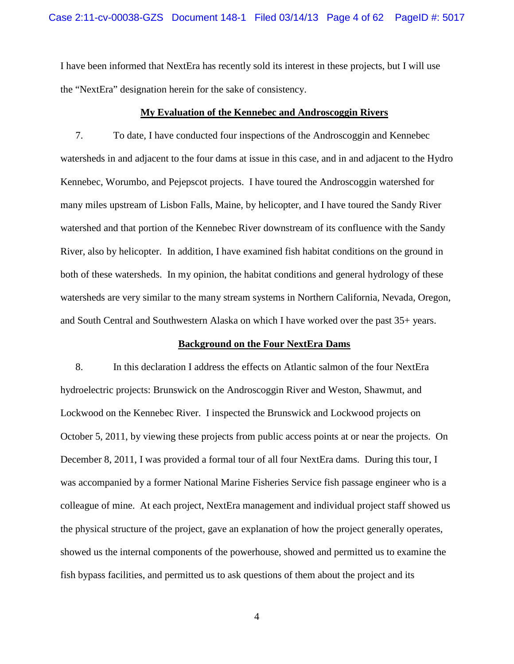I have been informed that NextEra has recently sold its interest in these projects, but I will use the "NextEra" designation herein for the sake of consistency.

#### **My Evaluation of the Kennebec and Androscoggin Rivers**

7. To date, I have conducted four inspections of the Androscoggin and Kennebec watersheds in and adjacent to the four dams at issue in this case, and in and adjacent to the Hydro Kennebec, Worumbo, and Pejepscot projects. I have toured the Androscoggin watershed for many miles upstream of Lisbon Falls, Maine, by helicopter, and I have toured the Sandy River watershed and that portion of the Kennebec River downstream of its confluence with the Sandy River, also by helicopter. In addition, I have examined fish habitat conditions on the ground in both of these watersheds. In my opinion, the habitat conditions and general hydrology of these watersheds are very similar to the many stream systems in Northern California, Nevada, Oregon, and South Central and Southwestern Alaska on which I have worked over the past 35+ years.

### **Background on the Four NextEra Dams**

8. In this declaration I address the effects on Atlantic salmon of the four NextEra hydroelectric projects: Brunswick on the Androscoggin River and Weston, Shawmut, and Lockwood on the Kennebec River. I inspected the Brunswick and Lockwood projects on October 5, 2011, by viewing these projects from public access points at or near the projects. On December 8, 2011, I was provided a formal tour of all four NextEra dams. During this tour, I was accompanied by a former National Marine Fisheries Service fish passage engineer who is a colleague of mine. At each project, NextEra management and individual project staff showed us the physical structure of the project, gave an explanation of how the project generally operates, showed us the internal components of the powerhouse, showed and permitted us to examine the fish bypass facilities, and permitted us to ask questions of them about the project and its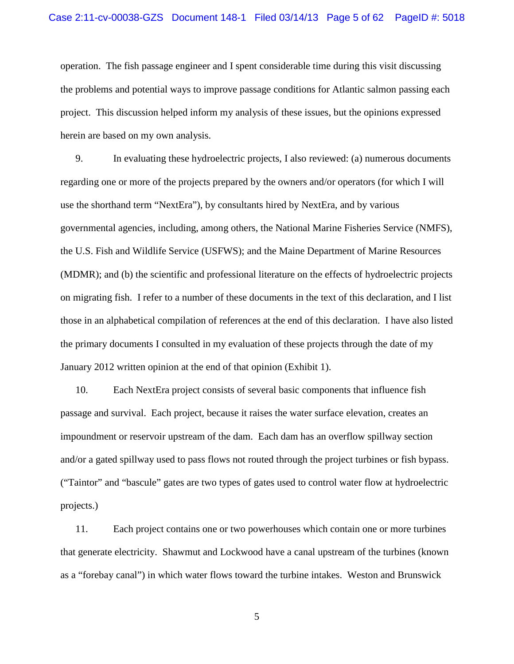operation. The fish passage engineer and I spent considerable time during this visit discussing the problems and potential ways to improve passage conditions for Atlantic salmon passing each project. This discussion helped inform my analysis of these issues, but the opinions expressed herein are based on my own analysis.

9. In evaluating these hydroelectric projects, I also reviewed: (a) numerous documents regarding one or more of the projects prepared by the owners and/or operators (for which I will use the shorthand term "NextEra"), by consultants hired by NextEra, and by various governmental agencies, including, among others, the National Marine Fisheries Service (NMFS), the U.S. Fish and Wildlife Service (USFWS); and the Maine Department of Marine Resources (MDMR); and (b) the scientific and professional literature on the effects of hydroelectric projects on migrating fish. I refer to a number of these documents in the text of this declaration, and I list those in an alphabetical compilation of references at the end of this declaration. I have also listed the primary documents I consulted in my evaluation of these projects through the date of my January 2012 written opinion at the end of that opinion (Exhibit 1).

10. Each NextEra project consists of several basic components that influence fish passage and survival. Each project, because it raises the water surface elevation, creates an impoundment or reservoir upstream of the dam. Each dam has an overflow spillway section and/or a gated spillway used to pass flows not routed through the project turbines or fish bypass. ("Taintor" and "bascule" gates are two types of gates used to control water flow at hydroelectric projects.)

11. Each project contains one or two powerhouses which contain one or more turbines that generate electricity. Shawmut and Lockwood have a canal upstream of the turbines (known as a "forebay canal") in which water flows toward the turbine intakes. Weston and Brunswick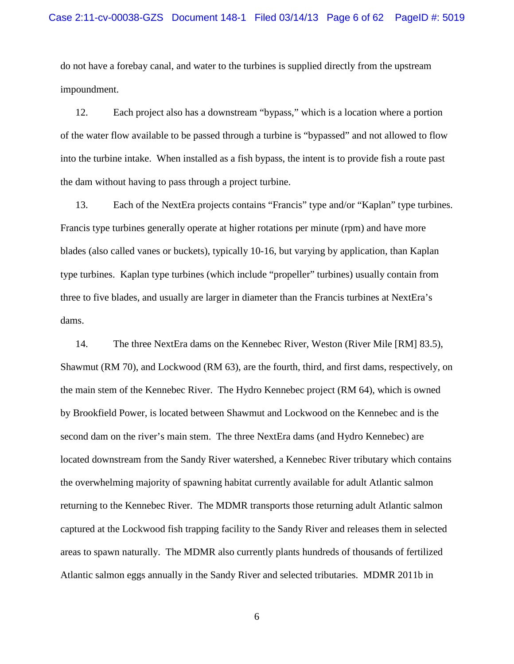do not have a forebay canal, and water to the turbines is supplied directly from the upstream impoundment.

12. Each project also has a downstream "bypass," which is a location where a portion of the water flow available to be passed through a turbine is "bypassed" and not allowed to flow into the turbine intake. When installed as a fish bypass, the intent is to provide fish a route past the dam without having to pass through a project turbine.

13. Each of the NextEra projects contains "Francis" type and/or "Kaplan" type turbines. Francis type turbines generally operate at higher rotations per minute (rpm) and have more blades (also called vanes or buckets), typically 10-16, but varying by application, than Kaplan type turbines. Kaplan type turbines (which include "propeller" turbines) usually contain from three to five blades, and usually are larger in diameter than the Francis turbines at NextEra's dams.

14. The three NextEra dams on the Kennebec River, Weston (River Mile [RM] 83.5), Shawmut (RM 70), and Lockwood (RM 63), are the fourth, third, and first dams, respectively, on the main stem of the Kennebec River. The Hydro Kennebec project (RM 64), which is owned by Brookfield Power, is located between Shawmut and Lockwood on the Kennebec and is the second dam on the river's main stem. The three NextEra dams (and Hydro Kennebec) are located downstream from the Sandy River watershed, a Kennebec River tributary which contains the overwhelming majority of spawning habitat currently available for adult Atlantic salmon returning to the Kennebec River. The MDMR transports those returning adult Atlantic salmon captured at the Lockwood fish trapping facility to the Sandy River and releases them in selected areas to spawn naturally. The MDMR also currently plants hundreds of thousands of fertilized Atlantic salmon eggs annually in the Sandy River and selected tributaries. MDMR 2011b in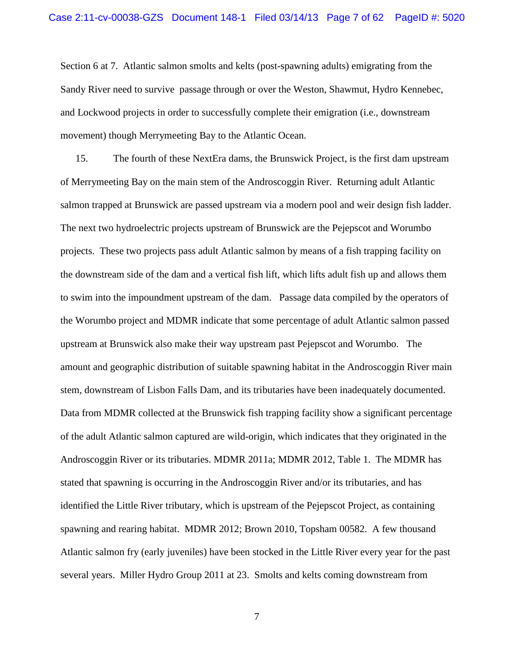Section 6 at 7. Atlantic salmon smolts and kelts (post-spawning adults) emigrating from the Sandy River need to survive passage through or over the Weston, Shawmut, Hydro Kennebec, and Lockwood projects in order to successfully complete their emigration (i.e., downstream movement) though Merrymeeting Bay to the Atlantic Ocean.

15. The fourth of these NextEra dams, the Brunswick Project, is the first dam upstream of Merrymeeting Bay on the main stem of the Androscoggin River. Returning adult Atlantic salmon trapped at Brunswick are passed upstream via a modern pool and weir design fish ladder. The next two hydroelectric projects upstream of Brunswick are the Pejepscot and Worumbo projects. These two projects pass adult Atlantic salmon by means of a fish trapping facility on the downstream side of the dam and a vertical fish lift, which lifts adult fish up and allows them to swim into the impoundment upstream of the dam. Passage data compiled by the operators of the Worumbo project and MDMR indicate that some percentage of adult Atlantic salmon passed upstream at Brunswick also make their way upstream past Pejepscot and Worumbo. The amount and geographic distribution of suitable spawning habitat in the Androscoggin River main stem, downstream of Lisbon Falls Dam, and its tributaries have been inadequately documented. Data from MDMR collected at the Brunswick fish trapping facility show a significant percentage of the adult Atlantic salmon captured are wild-origin, which indicates that they originated in the Androscoggin River or its tributaries. MDMR 2011a; MDMR 2012, Table 1. The MDMR has stated that spawning is occurring in the Androscoggin River and/or its tributaries, and has identified the Little River tributary, which is upstream of the Pejepscot Project, as containing spawning and rearing habitat. MDMR 2012; Brown 2010, Topsham 00582. A few thousand Atlantic salmon fry (early juveniles) have been stocked in the Little River every year for the past several years. Miller Hydro Group 2011 at 23. Smolts and kelts coming downstream from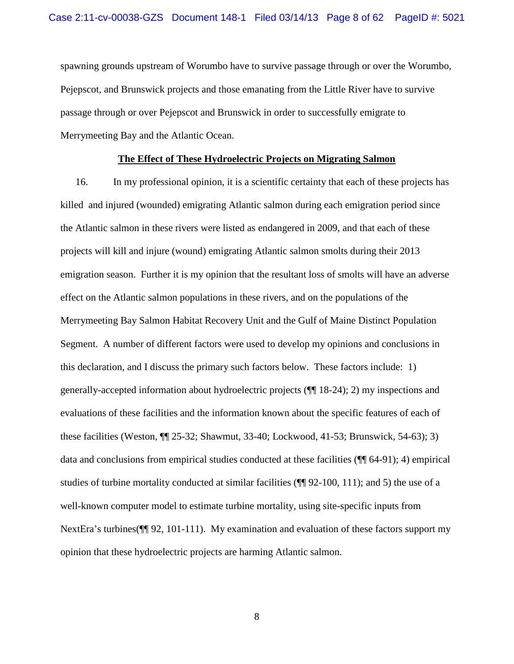spawning grounds upstream of Worumbo have to survive passage through or over the Worumbo, Pejepscot, and Brunswick projects and those emanating from the Little River have to survive passage through or over Pejepscot and Brunswick in order to successfully emigrate to Merrymeeting Bay and the Atlantic Ocean.

# **The Effect of These Hydroelectric Projects on Migrating Salmon**

16. In my professional opinion, it is a scientific certainty that each of these projects has killed and injured (wounded) emigrating Atlantic salmon during each emigration period since the Atlantic salmon in these rivers were listed as endangered in 2009, and that each of these projects will kill and injure (wound) emigrating Atlantic salmon smolts during their 2013 emigration season. Further it is my opinion that the resultant loss of smolts will have an adverse effect on the Atlantic salmon populations in these rivers, and on the populations of the Merrymeeting Bay Salmon Habitat Recovery Unit and the Gulf of Maine Distinct Population Segment. A number of different factors were used to develop my opinions and conclusions in this declaration, and I discuss the primary such factors below. These factors include: 1) generally-accepted information about hydroelectric projects (¶¶ 18-24); 2) my inspections and evaluations of these facilities and the information known about the specific features of each of these facilities (Weston, ¶¶ 25-32; Shawmut, 33-40; Lockwood, 41-53; Brunswick, 54-63); 3) data and conclusions from empirical studies conducted at these facilities (¶¶ 64-91); 4) empirical studies of turbine mortality conducted at similar facilities (¶¶ 92-100, 111); and 5) the use of a well-known computer model to estimate turbine mortality, using site-specific inputs from NextEra's turbines( $\P$ [92, 101-111). My examination and evaluation of these factors support my opinion that these hydroelectric projects are harming Atlantic salmon.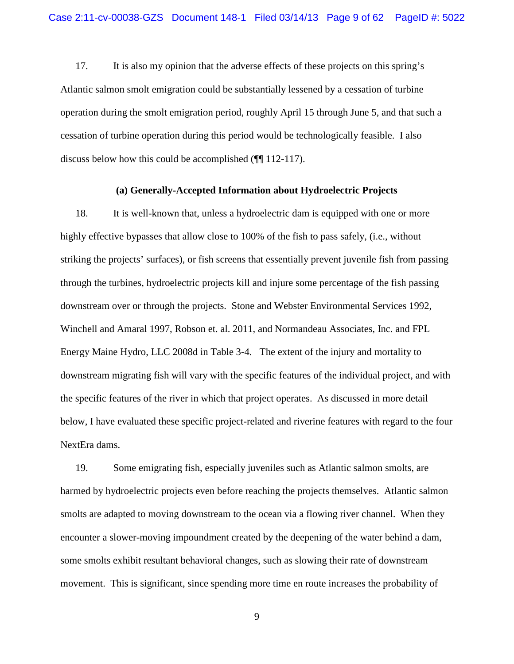17. It is also my opinion that the adverse effects of these projects on this spring's Atlantic salmon smolt emigration could be substantially lessened by a cessation of turbine operation during the smolt emigration period, roughly April 15 through June 5, and that such a cessation of turbine operation during this period would be technologically feasible. I also discuss below how this could be accomplished (¶¶ 112-117).

### **(a) Generally-Accepted Information about Hydroelectric Projects**

18. It is well-known that, unless a hydroelectric dam is equipped with one or more highly effective bypasses that allow close to 100% of the fish to pass safely, (i.e., without striking the projects' surfaces), or fish screens that essentially prevent juvenile fish from passing through the turbines, hydroelectric projects kill and injure some percentage of the fish passing downstream over or through the projects. Stone and Webster Environmental Services 1992, Winchell and Amaral 1997, Robson et. al. 2011, and Normandeau Associates, Inc. and FPL Energy Maine Hydro, LLC 2008d in Table 3-4. The extent of the injury and mortality to downstream migrating fish will vary with the specific features of the individual project, and with the specific features of the river in which that project operates. As discussed in more detail below, I have evaluated these specific project-related and riverine features with regard to the four NextEra dams.

19. Some emigrating fish, especially juveniles such as Atlantic salmon smolts, are harmed by hydroelectric projects even before reaching the projects themselves. Atlantic salmon smolts are adapted to moving downstream to the ocean via a flowing river channel. When they encounter a slower-moving impoundment created by the deepening of the water behind a dam, some smolts exhibit resultant behavioral changes, such as slowing their rate of downstream movement. This is significant, since spending more time en route increases the probability of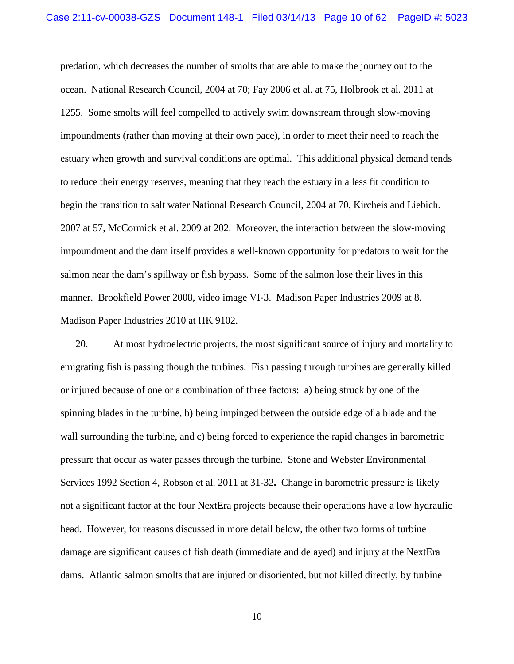predation, which decreases the number of smolts that are able to make the journey out to the ocean. National Research Council, 2004 at 70; Fay 2006 et al. at 75, Holbrook et al. 2011 at 1255. Some smolts will feel compelled to actively swim downstream through slow-moving impoundments (rather than moving at their own pace), in order to meet their need to reach the estuary when growth and survival conditions are optimal. This additional physical demand tends to reduce their energy reserves, meaning that they reach the estuary in a less fit condition to begin the transition to salt water National Research Council, 2004 at 70, Kircheis and Liebich. 2007 at 57, McCormick et al. 2009 at 202. Moreover, the interaction between the slow-moving impoundment and the dam itself provides a well-known opportunity for predators to wait for the salmon near the dam's spillway or fish bypass. Some of the salmon lose their lives in this manner. Brookfield Power 2008, video image VI-3. Madison Paper Industries 2009 at 8. Madison Paper Industries 2010 at HK 9102.

20. At most hydroelectric projects, the most significant source of injury and mortality to emigrating fish is passing though the turbines. Fish passing through turbines are generally killed or injured because of one or a combination of three factors: a) being struck by one of the spinning blades in the turbine, b) being impinged between the outside edge of a blade and the wall surrounding the turbine, and c) being forced to experience the rapid changes in barometric pressure that occur as water passes through the turbine. Stone and Webster Environmental Services 1992 Section 4, Robson et al. 2011 at 31-32**.** Change in barometric pressure is likely not a significant factor at the four NextEra projects because their operations have a low hydraulic head. However, for reasons discussed in more detail below, the other two forms of turbine damage are significant causes of fish death (immediate and delayed) and injury at the NextEra dams. Atlantic salmon smolts that are injured or disoriented, but not killed directly, by turbine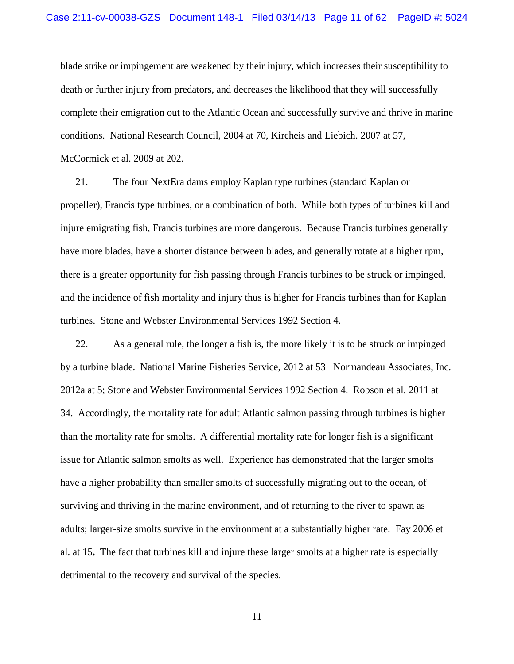blade strike or impingement are weakened by their injury, which increases their susceptibility to death or further injury from predators, and decreases the likelihood that they will successfully complete their emigration out to the Atlantic Ocean and successfully survive and thrive in marine conditions. National Research Council, 2004 at 70, Kircheis and Liebich. 2007 at 57, McCormick et al. 2009 at 202.

21. The four NextEra dams employ Kaplan type turbines (standard Kaplan or propeller), Francis type turbines, or a combination of both. While both types of turbines kill and injure emigrating fish, Francis turbines are more dangerous. Because Francis turbines generally have more blades, have a shorter distance between blades, and generally rotate at a higher rpm, there is a greater opportunity for fish passing through Francis turbines to be struck or impinged, and the incidence of fish mortality and injury thus is higher for Francis turbines than for Kaplan turbines. Stone and Webster Environmental Services 1992 Section 4.

22. As a general rule, the longer a fish is, the more likely it is to be struck or impinged by a turbine blade. National Marine Fisheries Service, 2012 at 53 Normandeau Associates, Inc. 2012a at 5; Stone and Webster Environmental Services 1992 Section 4. Robson et al. 2011 at 34. Accordingly, the mortality rate for adult Atlantic salmon passing through turbines is higher than the mortality rate for smolts. A differential mortality rate for longer fish is a significant issue for Atlantic salmon smolts as well. Experience has demonstrated that the larger smolts have a higher probability than smaller smolts of successfully migrating out to the ocean, of surviving and thriving in the marine environment, and of returning to the river to spawn as adults; larger-size smolts survive in the environment at a substantially higher rate. Fay 2006 et al. at 15**.** The fact that turbines kill and injure these larger smolts at a higher rate is especially detrimental to the recovery and survival of the species.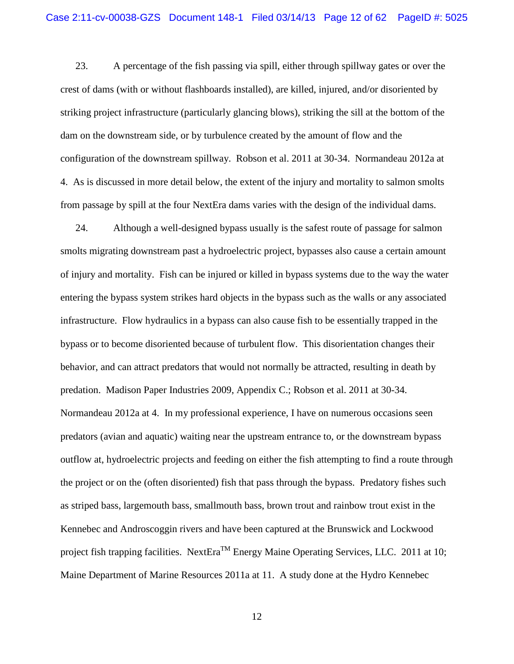23. A percentage of the fish passing via spill, either through spillway gates or over the crest of dams (with or without flashboards installed), are killed, injured, and/or disoriented by striking project infrastructure (particularly glancing blows), striking the sill at the bottom of the dam on the downstream side, or by turbulence created by the amount of flow and the configuration of the downstream spillway. Robson et al. 2011 at 30-34. Normandeau 2012a at 4. As is discussed in more detail below, the extent of the injury and mortality to salmon smolts from passage by spill at the four NextEra dams varies with the design of the individual dams.

24. Although a well-designed bypass usually is the safest route of passage for salmon smolts migrating downstream past a hydroelectric project, bypasses also cause a certain amount of injury and mortality. Fish can be injured or killed in bypass systems due to the way the water entering the bypass system strikes hard objects in the bypass such as the walls or any associated infrastructure. Flow hydraulics in a bypass can also cause fish to be essentially trapped in the bypass or to become disoriented because of turbulent flow. This disorientation changes their behavior, and can attract predators that would not normally be attracted, resulting in death by predation. Madison Paper Industries 2009, Appendix C.; Robson et al. 2011 at 30-34. Normandeau 2012a at 4. In my professional experience, I have on numerous occasions seen predators (avian and aquatic) waiting near the upstream entrance to, or the downstream bypass outflow at, hydroelectric projects and feeding on either the fish attempting to find a route through the project or on the (often disoriented) fish that pass through the bypass. Predatory fishes such as striped bass, largemouth bass, smallmouth bass, brown trout and rainbow trout exist in the Kennebec and Androscoggin rivers and have been captured at the Brunswick and Lockwood project fish trapping facilities. NextEra<sup>TM</sup> Energy Maine Operating Services, LLC. 2011 at 10; Maine Department of Marine Resources 2011a at 11. A study done at the Hydro Kennebec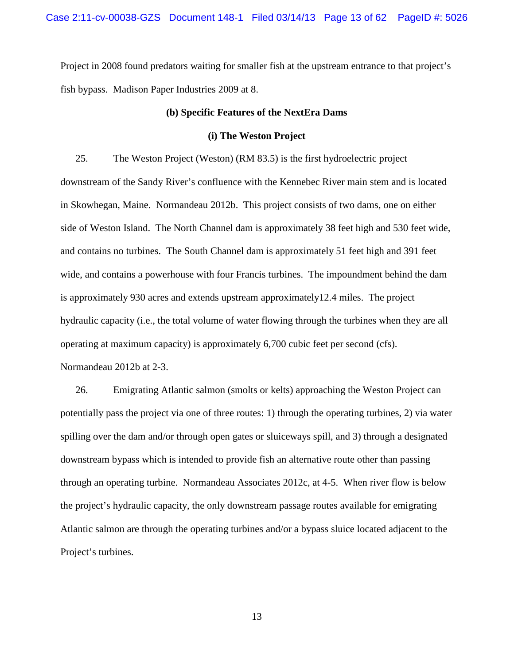Project in 2008 found predators waiting for smaller fish at the upstream entrance to that project's fish bypass. Madison Paper Industries 2009 at 8.

#### **(b) Specific Features of the NextEra Dams**

### **(i) The Weston Project**

25. The Weston Project (Weston) (RM 83.5) is the first hydroelectric project downstream of the Sandy River's confluence with the Kennebec River main stem and is located in Skowhegan, Maine. Normandeau 2012b. This project consists of two dams, one on either side of Weston Island. The North Channel dam is approximately 38 feet high and 530 feet wide, and contains no turbines. The South Channel dam is approximately 51 feet high and 391 feet wide, and contains a powerhouse with four Francis turbines. The impoundment behind the dam is approximately 930 acres and extends upstream approximately12.4 miles. The project hydraulic capacity (i.e., the total volume of water flowing through the turbines when they are all operating at maximum capacity) is approximately 6,700 cubic feet per second (cfs). Normandeau 2012b at 2-3.

26. Emigrating Atlantic salmon (smolts or kelts) approaching the Weston Project can potentially pass the project via one of three routes: 1) through the operating turbines, 2) via water spilling over the dam and/or through open gates or sluiceways spill, and 3) through a designated downstream bypass which is intended to provide fish an alternative route other than passing through an operating turbine. Normandeau Associates 2012c, at 4-5. When river flow is below the project's hydraulic capacity, the only downstream passage routes available for emigrating Atlantic salmon are through the operating turbines and/or a bypass sluice located adjacent to the Project's turbines.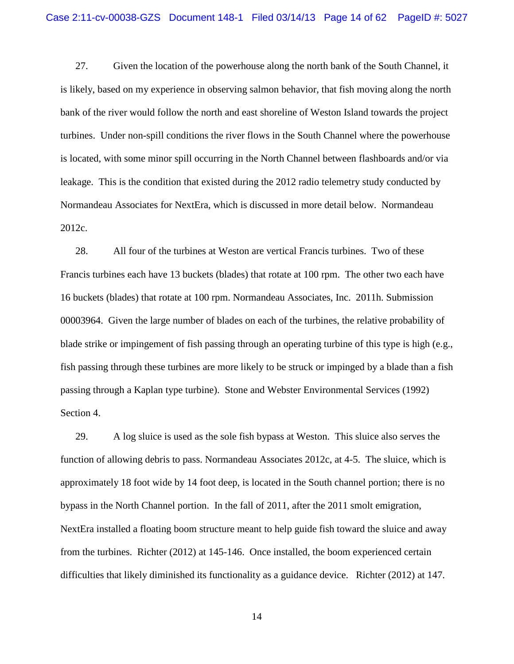27. Given the location of the powerhouse along the north bank of the South Channel, it is likely, based on my experience in observing salmon behavior, that fish moving along the north bank of the river would follow the north and east shoreline of Weston Island towards the project turbines. Under non-spill conditions the river flows in the South Channel where the powerhouse is located, with some minor spill occurring in the North Channel between flashboards and/or via leakage. This is the condition that existed during the 2012 radio telemetry study conducted by Normandeau Associates for NextEra, which is discussed in more detail below. Normandeau 2012c.

28. All four of the turbines at Weston are vertical Francis turbines. Two of these Francis turbines each have 13 buckets (blades) that rotate at 100 rpm. The other two each have 16 buckets (blades) that rotate at 100 rpm. Normandeau Associates, Inc. 2011h. Submission 00003964. Given the large number of blades on each of the turbines, the relative probability of blade strike or impingement of fish passing through an operating turbine of this type is high (e.g., fish passing through these turbines are more likely to be struck or impinged by a blade than a fish passing through a Kaplan type turbine). Stone and Webster Environmental Services (1992) Section 4.

29. A log sluice is used as the sole fish bypass at Weston. This sluice also serves the function of allowing debris to pass. Normandeau Associates 2012c, at 4-5. The sluice, which is approximately 18 foot wide by 14 foot deep, is located in the South channel portion; there is no bypass in the North Channel portion. In the fall of 2011, after the 2011 smolt emigration, NextEra installed a floating boom structure meant to help guide fish toward the sluice and away from the turbines. Richter (2012) at 145-146. Once installed, the boom experienced certain difficulties that likely diminished its functionality as a guidance device. Richter (2012) at 147.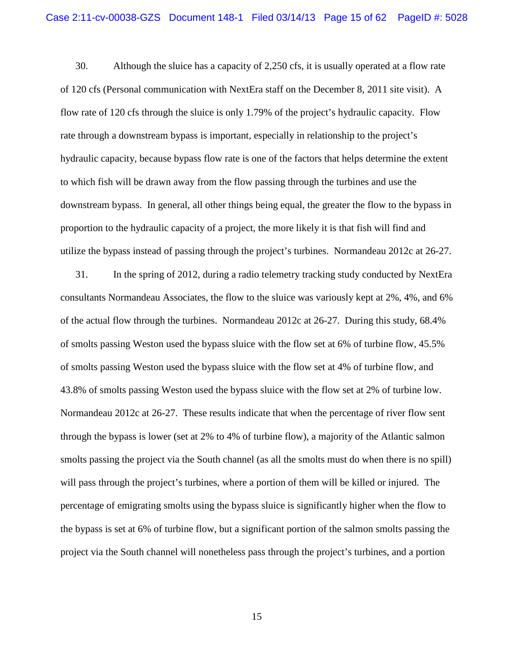30. Although the sluice has a capacity of 2,250 cfs, it is usually operated at a flow rate of 120 cfs (Personal communication with NextEra staff on the December 8, 2011 site visit). A flow rate of 120 cfs through the sluice is only 1.79% of the project's hydraulic capacity. Flow rate through a downstream bypass is important, especially in relationship to the project's hydraulic capacity, because bypass flow rate is one of the factors that helps determine the extent to which fish will be drawn away from the flow passing through the turbines and use the downstream bypass. In general, all other things being equal, the greater the flow to the bypass in proportion to the hydraulic capacity of a project, the more likely it is that fish will find and utilize the bypass instead of passing through the project's turbines. Normandeau 2012c at 26-27.

31. In the spring of 2012, during a radio telemetry tracking study conducted by NextEra consultants Normandeau Associates, the flow to the sluice was variously kept at 2%, 4%, and 6% of the actual flow through the turbines. Normandeau 2012c at 26-27. During this study, 68.4% of smolts passing Weston used the bypass sluice with the flow set at 6% of turbine flow, 45.5% of smolts passing Weston used the bypass sluice with the flow set at 4% of turbine flow, and 43.8% of smolts passing Weston used the bypass sluice with the flow set at 2% of turbine low. Normandeau 2012c at 26-27. These results indicate that when the percentage of river flow sent through the bypass is lower (set at 2% to 4% of turbine flow), a majority of the Atlantic salmon smolts passing the project via the South channel (as all the smolts must do when there is no spill) will pass through the project's turbines, where a portion of them will be killed or injured. The percentage of emigrating smolts using the bypass sluice is significantly higher when the flow to the bypass is set at 6% of turbine flow, but a significant portion of the salmon smolts passing the project via the South channel will nonetheless pass through the project's turbines, and a portion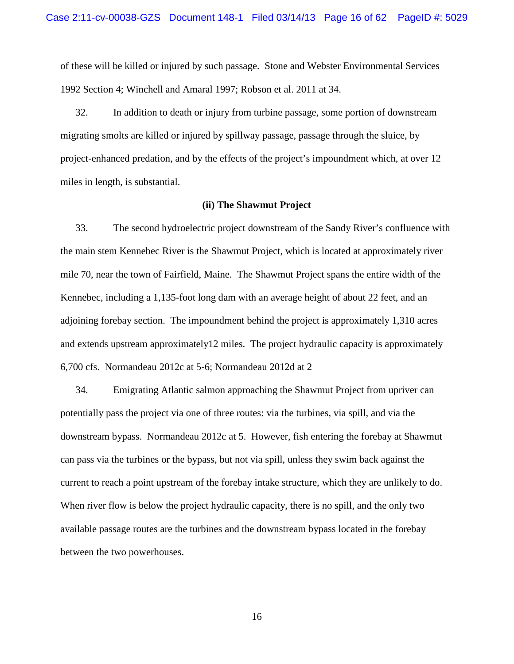of these will be killed or injured by such passage. Stone and Webster Environmental Services 1992 Section 4; Winchell and Amaral 1997; Robson et al. 2011 at 34.

32. In addition to death or injury from turbine passage, some portion of downstream migrating smolts are killed or injured by spillway passage, passage through the sluice, by project-enhanced predation, and by the effects of the project's impoundment which, at over 12 miles in length, is substantial.

#### **(ii) The Shawmut Project**

33. The second hydroelectric project downstream of the Sandy River's confluence with the main stem Kennebec River is the Shawmut Project, which is located at approximately river mile 70, near the town of Fairfield, Maine. The Shawmut Project spans the entire width of the Kennebec, including a 1,135-foot long dam with an average height of about 22 feet, and an adjoining forebay section. The impoundment behind the project is approximately 1,310 acres and extends upstream approximately12 miles. The project hydraulic capacity is approximately 6,700 cfs. Normandeau 2012c at 5-6; Normandeau 2012d at 2

34. Emigrating Atlantic salmon approaching the Shawmut Project from upriver can potentially pass the project via one of three routes: via the turbines, via spill, and via the downstream bypass. Normandeau 2012c at 5. However, fish entering the forebay at Shawmut can pass via the turbines or the bypass, but not via spill, unless they swim back against the current to reach a point upstream of the forebay intake structure, which they are unlikely to do. When river flow is below the project hydraulic capacity, there is no spill, and the only two available passage routes are the turbines and the downstream bypass located in the forebay between the two powerhouses.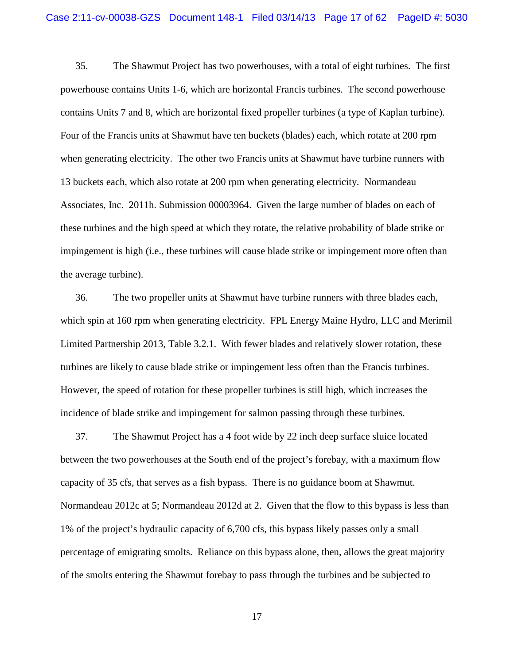35. The Shawmut Project has two powerhouses, with a total of eight turbines. The first powerhouse contains Units 1-6, which are horizontal Francis turbines. The second powerhouse contains Units 7 and 8, which are horizontal fixed propeller turbines (a type of Kaplan turbine). Four of the Francis units at Shawmut have ten buckets (blades) each, which rotate at 200 rpm when generating electricity. The other two Francis units at Shawmut have turbine runners with 13 buckets each, which also rotate at 200 rpm when generating electricity. Normandeau Associates, Inc. 2011h. Submission 00003964. Given the large number of blades on each of these turbines and the high speed at which they rotate, the relative probability of blade strike or impingement is high (i.e., these turbines will cause blade strike or impingement more often than the average turbine).

36. The two propeller units at Shawmut have turbine runners with three blades each, which spin at 160 rpm when generating electricity. FPL Energy Maine Hydro, LLC and Merimil Limited Partnership 2013, Table 3.2.1. With fewer blades and relatively slower rotation, these turbines are likely to cause blade strike or impingement less often than the Francis turbines. However, the speed of rotation for these propeller turbines is still high, which increases the incidence of blade strike and impingement for salmon passing through these turbines.

37. The Shawmut Project has a 4 foot wide by 22 inch deep surface sluice located between the two powerhouses at the South end of the project's forebay, with a maximum flow capacity of 35 cfs, that serves as a fish bypass. There is no guidance boom at Shawmut. Normandeau 2012c at 5; Normandeau 2012d at 2. Given that the flow to this bypass is less than 1% of the project's hydraulic capacity of 6,700 cfs, this bypass likely passes only a small percentage of emigrating smolts. Reliance on this bypass alone, then, allows the great majority of the smolts entering the Shawmut forebay to pass through the turbines and be subjected to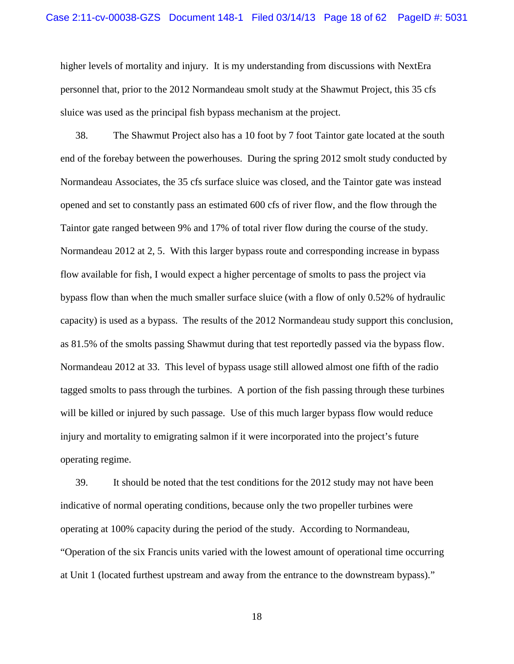higher levels of mortality and injury. It is my understanding from discussions with NextEra personnel that, prior to the 2012 Normandeau smolt study at the Shawmut Project, this 35 cfs sluice was used as the principal fish bypass mechanism at the project.

38. The Shawmut Project also has a 10 foot by 7 foot Taintor gate located at the south end of the forebay between the powerhouses. During the spring 2012 smolt study conducted by Normandeau Associates, the 35 cfs surface sluice was closed, and the Taintor gate was instead opened and set to constantly pass an estimated 600 cfs of river flow, and the flow through the Taintor gate ranged between 9% and 17% of total river flow during the course of the study. Normandeau 2012 at 2, 5. With this larger bypass route and corresponding increase in bypass flow available for fish, I would expect a higher percentage of smolts to pass the project via bypass flow than when the much smaller surface sluice (with a flow of only 0.52% of hydraulic capacity) is used as a bypass. The results of the 2012 Normandeau study support this conclusion, as 81.5% of the smolts passing Shawmut during that test reportedly passed via the bypass flow. Normandeau 2012 at 33. This level of bypass usage still allowed almost one fifth of the radio tagged smolts to pass through the turbines. A portion of the fish passing through these turbines will be killed or injured by such passage. Use of this much larger bypass flow would reduce injury and mortality to emigrating salmon if it were incorporated into the project's future operating regime.

39. It should be noted that the test conditions for the 2012 study may not have been indicative of normal operating conditions, because only the two propeller turbines were operating at 100% capacity during the period of the study. According to Normandeau, "Operation of the six Francis units varied with the lowest amount of operational time occurring at Unit 1 (located furthest upstream and away from the entrance to the downstream bypass)."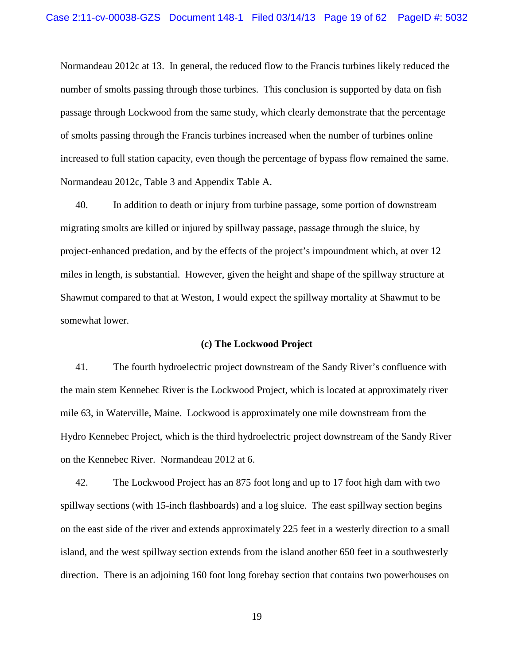Normandeau 2012c at 13. In general, the reduced flow to the Francis turbines likely reduced the number of smolts passing through those turbines. This conclusion is supported by data on fish passage through Lockwood from the same study, which clearly demonstrate that the percentage of smolts passing through the Francis turbines increased when the number of turbines online increased to full station capacity, even though the percentage of bypass flow remained the same. Normandeau 2012c, Table 3 and Appendix Table A.

40. In addition to death or injury from turbine passage, some portion of downstream migrating smolts are killed or injured by spillway passage, passage through the sluice, by project-enhanced predation, and by the effects of the project's impoundment which, at over 12 miles in length, is substantial. However, given the height and shape of the spillway structure at Shawmut compared to that at Weston, I would expect the spillway mortality at Shawmut to be somewhat lower.

#### **(c) The Lockwood Project**

41. The fourth hydroelectric project downstream of the Sandy River's confluence with the main stem Kennebec River is the Lockwood Project, which is located at approximately river mile 63, in Waterville, Maine. Lockwood is approximately one mile downstream from the Hydro Kennebec Project, which is the third hydroelectric project downstream of the Sandy River on the Kennebec River. Normandeau 2012 at 6.

42. The Lockwood Project has an 875 foot long and up to 17 foot high dam with two spillway sections (with 15-inch flashboards) and a log sluice. The east spillway section begins on the east side of the river and extends approximately 225 feet in a westerly direction to a small island, and the west spillway section extends from the island another 650 feet in a southwesterly direction. There is an adjoining 160 foot long forebay section that contains two powerhouses on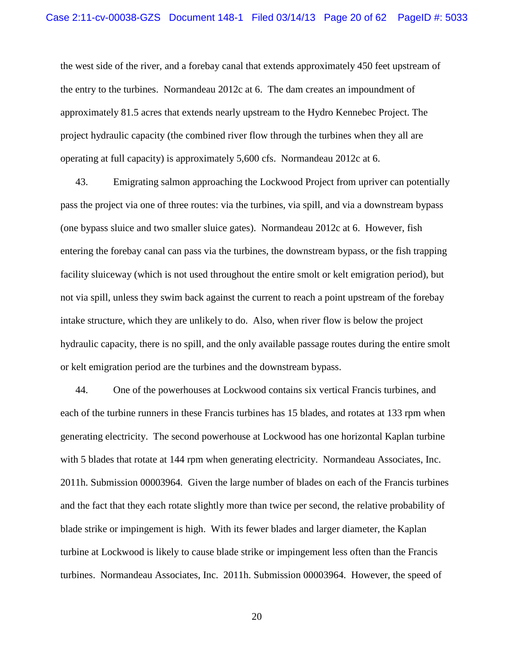the west side of the river, and a forebay canal that extends approximately 450 feet upstream of the entry to the turbines. Normandeau 2012c at 6. The dam creates an impoundment of approximately 81.5 acres that extends nearly upstream to the Hydro Kennebec Project. The project hydraulic capacity (the combined river flow through the turbines when they all are operating at full capacity) is approximately 5,600 cfs. Normandeau 2012c at 6.

43. Emigrating salmon approaching the Lockwood Project from upriver can potentially pass the project via one of three routes: via the turbines, via spill, and via a downstream bypass (one bypass sluice and two smaller sluice gates). Normandeau 2012c at 6. However, fish entering the forebay canal can pass via the turbines, the downstream bypass, or the fish trapping facility sluiceway (which is not used throughout the entire smolt or kelt emigration period), but not via spill, unless they swim back against the current to reach a point upstream of the forebay intake structure, which they are unlikely to do. Also, when river flow is below the project hydraulic capacity, there is no spill, and the only available passage routes during the entire smolt or kelt emigration period are the turbines and the downstream bypass.

44. One of the powerhouses at Lockwood contains six vertical Francis turbines, and each of the turbine runners in these Francis turbines has 15 blades, and rotates at 133 rpm when generating electricity. The second powerhouse at Lockwood has one horizontal Kaplan turbine with 5 blades that rotate at 144 rpm when generating electricity. Normandeau Associates, Inc. 2011h. Submission 00003964*.* Given the large number of blades on each of the Francis turbines and the fact that they each rotate slightly more than twice per second, the relative probability of blade strike or impingement is high. With its fewer blades and larger diameter, the Kaplan turbine at Lockwood is likely to cause blade strike or impingement less often than the Francis turbines. Normandeau Associates, Inc. 2011h. Submission 00003964. However, the speed of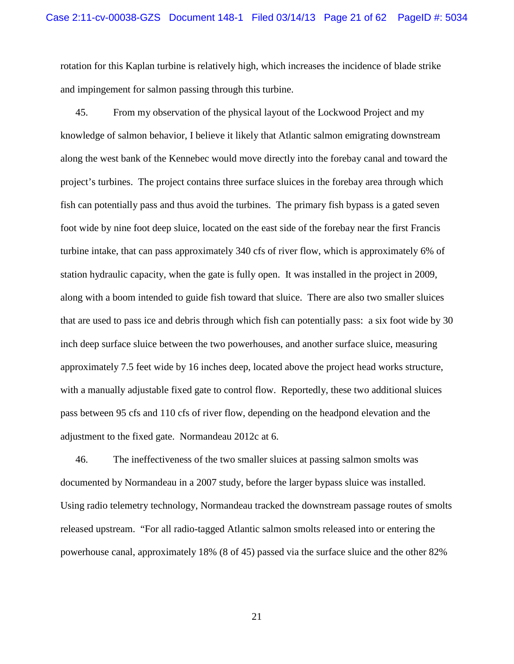rotation for this Kaplan turbine is relatively high, which increases the incidence of blade strike and impingement for salmon passing through this turbine.

45. From my observation of the physical layout of the Lockwood Project and my knowledge of salmon behavior, I believe it likely that Atlantic salmon emigrating downstream along the west bank of the Kennebec would move directly into the forebay canal and toward the project's turbines. The project contains three surface sluices in the forebay area through which fish can potentially pass and thus avoid the turbines. The primary fish bypass is a gated seven foot wide by nine foot deep sluice, located on the east side of the forebay near the first Francis turbine intake, that can pass approximately 340 cfs of river flow, which is approximately 6% of station hydraulic capacity, when the gate is fully open. It was installed in the project in 2009, along with a boom intended to guide fish toward that sluice. There are also two smaller sluices that are used to pass ice and debris through which fish can potentially pass: a six foot wide by 30 inch deep surface sluice between the two powerhouses, and another surface sluice, measuring approximately 7.5 feet wide by 16 inches deep, located above the project head works structure, with a manually adjustable fixed gate to control flow. Reportedly, these two additional sluices pass between 95 cfs and 110 cfs of river flow, depending on the headpond elevation and the adjustment to the fixed gate. Normandeau 2012c at 6.

46. The ineffectiveness of the two smaller sluices at passing salmon smolts was documented by Normandeau in a 2007 study, before the larger bypass sluice was installed. Using radio telemetry technology, Normandeau tracked the downstream passage routes of smolts released upstream. "For all radio-tagged Atlantic salmon smolts released into or entering the powerhouse canal, approximately 18% (8 of 45) passed via the surface sluice and the other 82%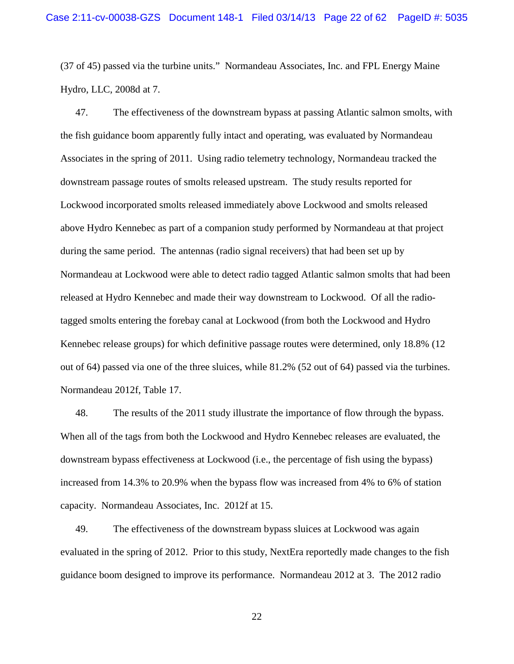(37 of 45) passed via the turbine units." Normandeau Associates, Inc. and FPL Energy Maine Hydro, LLC, 2008d at 7.

47. The effectiveness of the downstream bypass at passing Atlantic salmon smolts, with the fish guidance boom apparently fully intact and operating, was evaluated by Normandeau Associates in the spring of 2011. Using radio telemetry technology, Normandeau tracked the downstream passage routes of smolts released upstream. The study results reported for Lockwood incorporated smolts released immediately above Lockwood and smolts released above Hydro Kennebec as part of a companion study performed by Normandeau at that project during the same period. The antennas (radio signal receivers) that had been set up by Normandeau at Lockwood were able to detect radio tagged Atlantic salmon smolts that had been released at Hydro Kennebec and made their way downstream to Lockwood. Of all the radiotagged smolts entering the forebay canal at Lockwood (from both the Lockwood and Hydro Kennebec release groups) for which definitive passage routes were determined, only 18.8% (12 out of 64) passed via one of the three sluices, while 81.2% (52 out of 64) passed via the turbines. Normandeau 2012f, Table 17.

48. The results of the 2011 study illustrate the importance of flow through the bypass. When all of the tags from both the Lockwood and Hydro Kennebec releases are evaluated, the downstream bypass effectiveness at Lockwood (i.e., the percentage of fish using the bypass) increased from 14.3% to 20.9% when the bypass flow was increased from 4% to 6% of station capacity. Normandeau Associates, Inc. 2012f at 15.

49. The effectiveness of the downstream bypass sluices at Lockwood was again evaluated in the spring of 2012. Prior to this study, NextEra reportedly made changes to the fish guidance boom designed to improve its performance. Normandeau 2012 at 3. The 2012 radio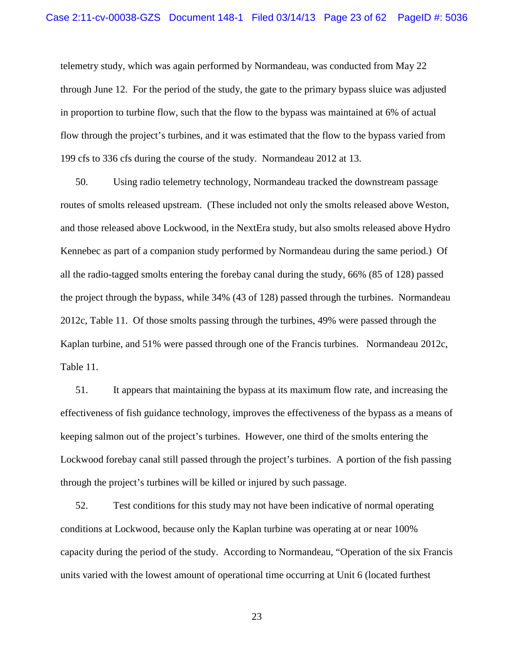telemetry study, which was again performed by Normandeau, was conducted from May 22 through June 12. For the period of the study, the gate to the primary bypass sluice was adjusted in proportion to turbine flow, such that the flow to the bypass was maintained at 6% of actual flow through the project's turbines, and it was estimated that the flow to the bypass varied from 199 cfs to 336 cfs during the course of the study. Normandeau 2012 at 13.

50. Using radio telemetry technology, Normandeau tracked the downstream passage routes of smolts released upstream. (These included not only the smolts released above Weston, and those released above Lockwood, in the NextEra study, but also smolts released above Hydro Kennebec as part of a companion study performed by Normandeau during the same period.) Of all the radio-tagged smolts entering the forebay canal during the study, 66% (85 of 128) passed the project through the bypass, while 34% (43 of 128) passed through the turbines. Normandeau 2012c, Table 11. Of those smolts passing through the turbines, 49% were passed through the Kaplan turbine, and 51% were passed through one of the Francis turbines. Normandeau 2012c, Table 11.

51. It appears that maintaining the bypass at its maximum flow rate, and increasing the effectiveness of fish guidance technology, improves the effectiveness of the bypass as a means of keeping salmon out of the project's turbines. However, one third of the smolts entering the Lockwood forebay canal still passed through the project's turbines. A portion of the fish passing through the project's turbines will be killed or injured by such passage.

52. Test conditions for this study may not have been indicative of normal operating conditions at Lockwood, because only the Kaplan turbine was operating at or near 100% capacity during the period of the study. According to Normandeau, "Operation of the six Francis units varied with the lowest amount of operational time occurring at Unit 6 (located furthest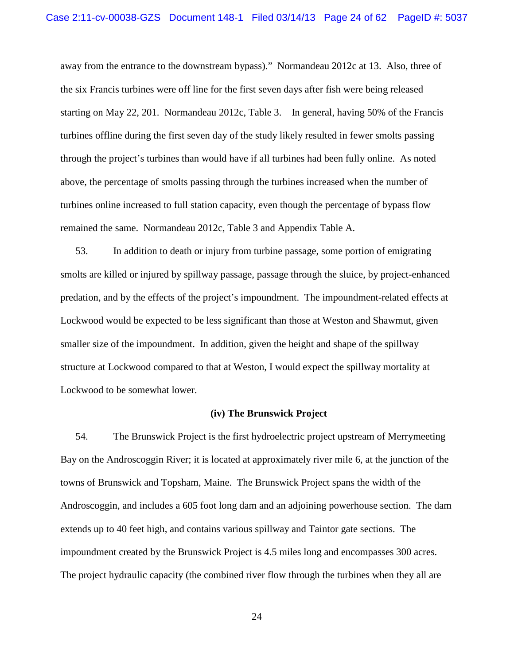away from the entrance to the downstream bypass)." Normandeau 2012c at 13. Also, three of the six Francis turbines were off line for the first seven days after fish were being released starting on May 22, 201. Normandeau 2012c, Table 3. In general, having 50% of the Francis turbines offline during the first seven day of the study likely resulted in fewer smolts passing through the project's turbines than would have if all turbines had been fully online. As noted above, the percentage of smolts passing through the turbines increased when the number of turbines online increased to full station capacity, even though the percentage of bypass flow remained the same. Normandeau 2012c, Table 3 and Appendix Table A.

53. In addition to death or injury from turbine passage, some portion of emigrating smolts are killed or injured by spillway passage, passage through the sluice, by project-enhanced predation, and by the effects of the project's impoundment. The impoundment-related effects at Lockwood would be expected to be less significant than those at Weston and Shawmut, given smaller size of the impoundment. In addition, given the height and shape of the spillway structure at Lockwood compared to that at Weston, I would expect the spillway mortality at Lockwood to be somewhat lower.

### **(iv) The Brunswick Project**

 54. The Brunswick Project is the first hydroelectric project upstream of Merrymeeting Bay on the Androscoggin River; it is located at approximately river mile 6, at the junction of the towns of Brunswick and Topsham, Maine. The Brunswick Project spans the width of the Androscoggin, and includes a 605 foot long dam and an adjoining powerhouse section. The dam extends up to 40 feet high, and contains various spillway and Taintor gate sections. The impoundment created by the Brunswick Project is 4.5 miles long and encompasses 300 acres. The project hydraulic capacity (the combined river flow through the turbines when they all are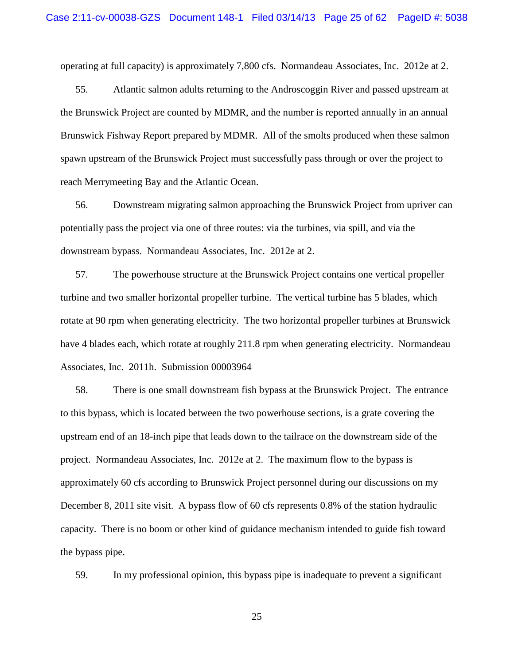operating at full capacity) is approximately 7,800 cfs. Normandeau Associates, Inc. 2012e at 2.

55. Atlantic salmon adults returning to the Androscoggin River and passed upstream at the Brunswick Project are counted by MDMR, and the number is reported annually in an annual Brunswick Fishway Report prepared by MDMR. All of the smolts produced when these salmon spawn upstream of the Brunswick Project must successfully pass through or over the project to reach Merrymeeting Bay and the Atlantic Ocean.

56. Downstream migrating salmon approaching the Brunswick Project from upriver can potentially pass the project via one of three routes: via the turbines, via spill, and via the downstream bypass. Normandeau Associates, Inc. 2012e at 2.

57. The powerhouse structure at the Brunswick Project contains one vertical propeller turbine and two smaller horizontal propeller turbine. The vertical turbine has 5 blades, which rotate at 90 rpm when generating electricity. The two horizontal propeller turbines at Brunswick have 4 blades each, which rotate at roughly 211.8 rpm when generating electricity. Normandeau Associates, Inc. 2011h. Submission 00003964

58. There is one small downstream fish bypass at the Brunswick Project. The entrance to this bypass, which is located between the two powerhouse sections, is a grate covering the upstream end of an 18-inch pipe that leads down to the tailrace on the downstream side of the project. Normandeau Associates, Inc. 2012e at 2. The maximum flow to the bypass is approximately 60 cfs according to Brunswick Project personnel during our discussions on my December 8, 2011 site visit. A bypass flow of 60 cfs represents 0.8% of the station hydraulic capacity. There is no boom or other kind of guidance mechanism intended to guide fish toward the bypass pipe.

59. In my professional opinion, this bypass pipe is inadequate to prevent a significant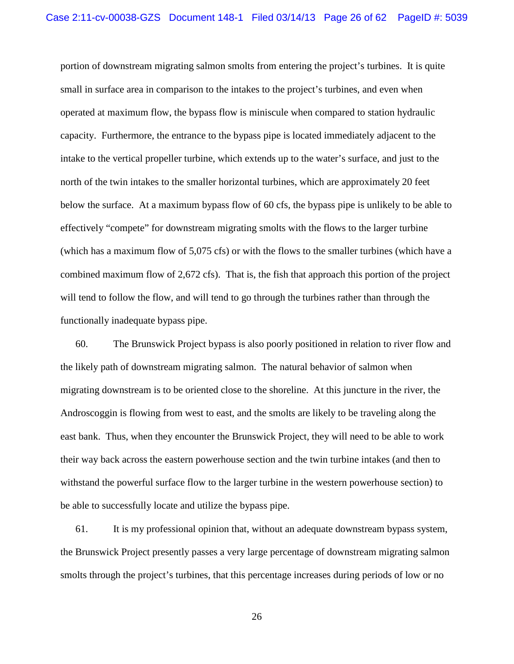portion of downstream migrating salmon smolts from entering the project's turbines. It is quite small in surface area in comparison to the intakes to the project's turbines, and even when operated at maximum flow, the bypass flow is miniscule when compared to station hydraulic capacity. Furthermore, the entrance to the bypass pipe is located immediately adjacent to the intake to the vertical propeller turbine, which extends up to the water's surface, and just to the north of the twin intakes to the smaller horizontal turbines, which are approximately 20 feet below the surface. At a maximum bypass flow of 60 cfs, the bypass pipe is unlikely to be able to effectively "compete" for downstream migrating smolts with the flows to the larger turbine (which has a maximum flow of 5,075 cfs) or with the flows to the smaller turbines (which have a combined maximum flow of 2,672 cfs). That is, the fish that approach this portion of the project will tend to follow the flow, and will tend to go through the turbines rather than through the functionally inadequate bypass pipe.

60. The Brunswick Project bypass is also poorly positioned in relation to river flow and the likely path of downstream migrating salmon. The natural behavior of salmon when migrating downstream is to be oriented close to the shoreline. At this juncture in the river, the Androscoggin is flowing from west to east, and the smolts are likely to be traveling along the east bank. Thus, when they encounter the Brunswick Project, they will need to be able to work their way back across the eastern powerhouse section and the twin turbine intakes (and then to withstand the powerful surface flow to the larger turbine in the western powerhouse section) to be able to successfully locate and utilize the bypass pipe.

61. It is my professional opinion that, without an adequate downstream bypass system, the Brunswick Project presently passes a very large percentage of downstream migrating salmon smolts through the project's turbines, that this percentage increases during periods of low or no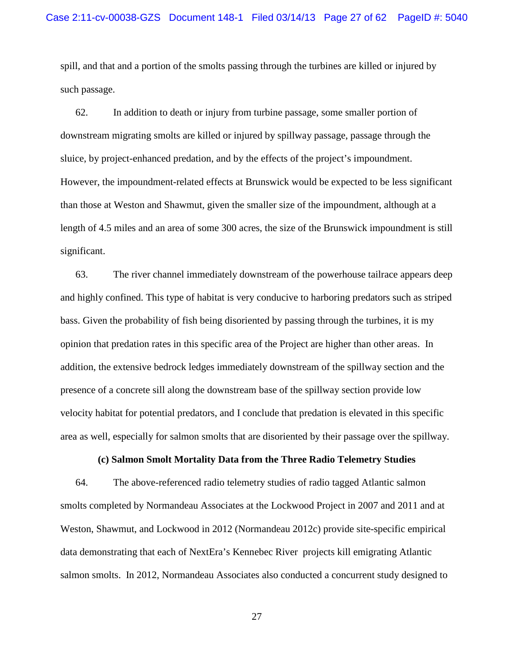spill, and that and a portion of the smolts passing through the turbines are killed or injured by such passage.

62. In addition to death or injury from turbine passage, some smaller portion of downstream migrating smolts are killed or injured by spillway passage, passage through the sluice, by project-enhanced predation, and by the effects of the project's impoundment. However, the impoundment-related effects at Brunswick would be expected to be less significant than those at Weston and Shawmut, given the smaller size of the impoundment, although at a length of 4.5 miles and an area of some 300 acres, the size of the Brunswick impoundment is still significant.

63. The river channel immediately downstream of the powerhouse tailrace appears deep and highly confined. This type of habitat is very conducive to harboring predators such as striped bass. Given the probability of fish being disoriented by passing through the turbines, it is my opinion that predation rates in this specific area of the Project are higher than other areas. In addition, the extensive bedrock ledges immediately downstream of the spillway section and the presence of a concrete sill along the downstream base of the spillway section provide low velocity habitat for potential predators, and I conclude that predation is elevated in this specific area as well, especially for salmon smolts that are disoriented by their passage over the spillway.

# **(c) Salmon Smolt Mortality Data from the Three Radio Telemetry Studies**

64. The above-referenced radio telemetry studies of radio tagged Atlantic salmon smolts completed by Normandeau Associates at the Lockwood Project in 2007 and 2011 and at Weston, Shawmut, and Lockwood in 2012 (Normandeau 2012c) provide site-specific empirical data demonstrating that each of NextEra's Kennebec River projects kill emigrating Atlantic salmon smolts. In 2012, Normandeau Associates also conducted a concurrent study designed to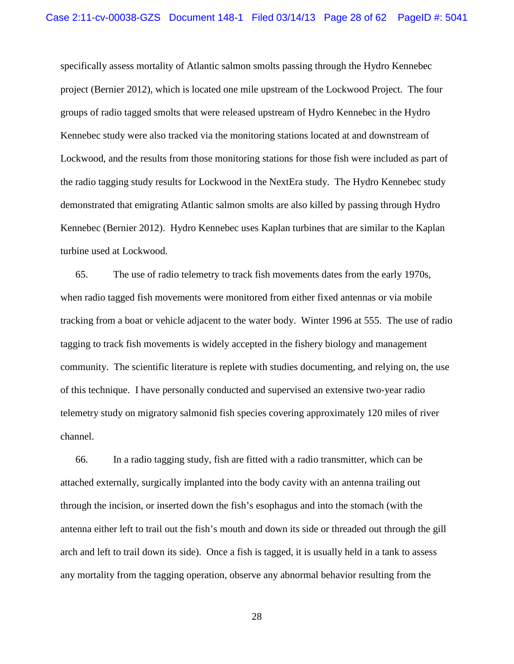specifically assess mortality of Atlantic salmon smolts passing through the Hydro Kennebec project (Bernier 2012), which is located one mile upstream of the Lockwood Project. The four groups of radio tagged smolts that were released upstream of Hydro Kennebec in the Hydro Kennebec study were also tracked via the monitoring stations located at and downstream of Lockwood, and the results from those monitoring stations for those fish were included as part of the radio tagging study results for Lockwood in the NextEra study. The Hydro Kennebec study demonstrated that emigrating Atlantic salmon smolts are also killed by passing through Hydro Kennebec (Bernier 2012). Hydro Kennebec uses Kaplan turbines that are similar to the Kaplan turbine used at Lockwood.

65. The use of radio telemetry to track fish movements dates from the early 1970s, when radio tagged fish movements were monitored from either fixed antennas or via mobile tracking from a boat or vehicle adjacent to the water body. Winter 1996 at 555. The use of radio tagging to track fish movements is widely accepted in the fishery biology and management community. The scientific literature is replete with studies documenting, and relying on, the use of this technique. I have personally conducted and supervised an extensive two-year radio telemetry study on migratory salmonid fish species covering approximately 120 miles of river channel.

66. In a radio tagging study, fish are fitted with a radio transmitter, which can be attached externally, surgically implanted into the body cavity with an antenna trailing out through the incision, or inserted down the fish's esophagus and into the stomach (with the antenna either left to trail out the fish's mouth and down its side or threaded out through the gill arch and left to trail down its side). Once a fish is tagged, it is usually held in a tank to assess any mortality from the tagging operation, observe any abnormal behavior resulting from the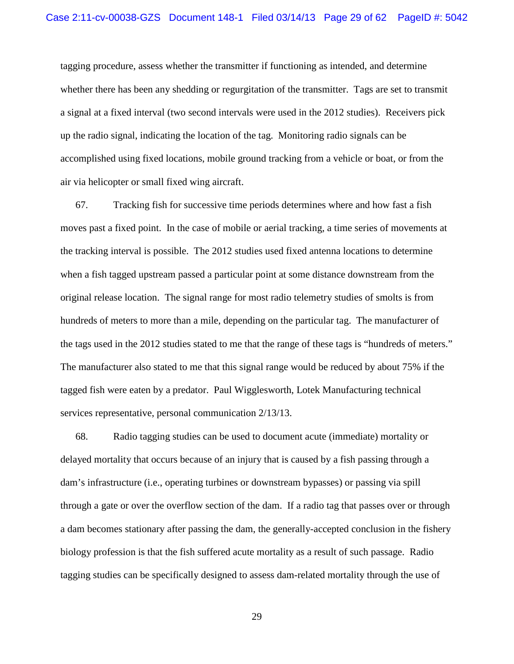tagging procedure, assess whether the transmitter if functioning as intended, and determine whether there has been any shedding or regurgitation of the transmitter. Tags are set to transmit a signal at a fixed interval (two second intervals were used in the 2012 studies). Receivers pick up the radio signal, indicating the location of the tag. Monitoring radio signals can be accomplished using fixed locations, mobile ground tracking from a vehicle or boat, or from the air via helicopter or small fixed wing aircraft.

67. Tracking fish for successive time periods determines where and how fast a fish moves past a fixed point. In the case of mobile or aerial tracking, a time series of movements at the tracking interval is possible. The 2012 studies used fixed antenna locations to determine when a fish tagged upstream passed a particular point at some distance downstream from the original release location. The signal range for most radio telemetry studies of smolts is from hundreds of meters to more than a mile, depending on the particular tag. The manufacturer of the tags used in the 2012 studies stated to me that the range of these tags is "hundreds of meters." The manufacturer also stated to me that this signal range would be reduced by about 75% if the tagged fish were eaten by a predator. Paul Wigglesworth, Lotek Manufacturing technical services representative, personal communication 2/13/13.

68. Radio tagging studies can be used to document acute (immediate) mortality or delayed mortality that occurs because of an injury that is caused by a fish passing through a dam's infrastructure (i.e., operating turbines or downstream bypasses) or passing via spill through a gate or over the overflow section of the dam. If a radio tag that passes over or through a dam becomes stationary after passing the dam, the generally-accepted conclusion in the fishery biology profession is that the fish suffered acute mortality as a result of such passage. Radio tagging studies can be specifically designed to assess dam-related mortality through the use of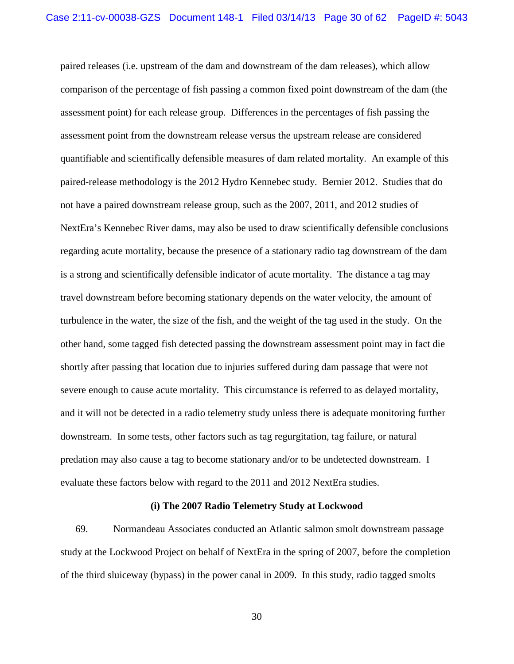paired releases (i.e. upstream of the dam and downstream of the dam releases), which allow comparison of the percentage of fish passing a common fixed point downstream of the dam (the assessment point) for each release group. Differences in the percentages of fish passing the assessment point from the downstream release versus the upstream release are considered quantifiable and scientifically defensible measures of dam related mortality. An example of this paired-release methodology is the 2012 Hydro Kennebec study. Bernier 2012. Studies that do not have a paired downstream release group, such as the 2007, 2011, and 2012 studies of NextEra's Kennebec River dams, may also be used to draw scientifically defensible conclusions regarding acute mortality, because the presence of a stationary radio tag downstream of the dam is a strong and scientifically defensible indicator of acute mortality. The distance a tag may travel downstream before becoming stationary depends on the water velocity, the amount of turbulence in the water, the size of the fish, and the weight of the tag used in the study. On the other hand, some tagged fish detected passing the downstream assessment point may in fact die shortly after passing that location due to injuries suffered during dam passage that were not severe enough to cause acute mortality. This circumstance is referred to as delayed mortality, and it will not be detected in a radio telemetry study unless there is adequate monitoring further downstream. In some tests, other factors such as tag regurgitation, tag failure, or natural predation may also cause a tag to become stationary and/or to be undetected downstream. I evaluate these factors below with regard to the 2011 and 2012 NextEra studies.

#### **(i) The 2007 Radio Telemetry Study at Lockwood**

69. Normandeau Associates conducted an Atlantic salmon smolt downstream passage study at the Lockwood Project on behalf of NextEra in the spring of 2007, before the completion of the third sluiceway (bypass) in the power canal in 2009. In this study, radio tagged smolts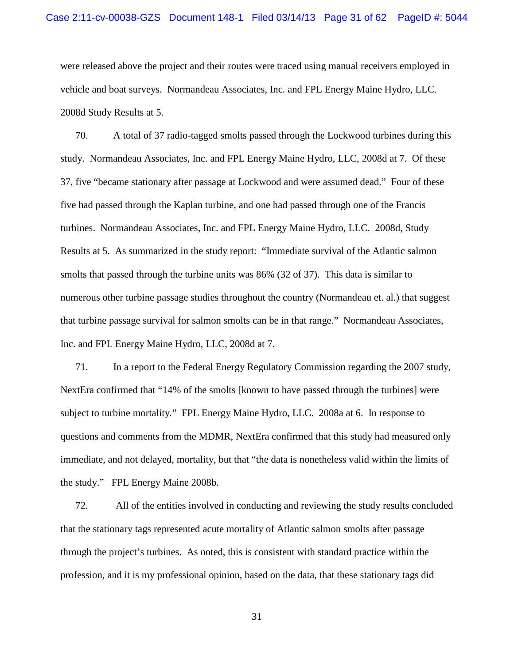were released above the project and their routes were traced using manual receivers employed in vehicle and boat surveys. Normandeau Associates, Inc. and FPL Energy Maine Hydro, LLC. 2008d Study Results at 5.

70. A total of 37 radio-tagged smolts passed through the Lockwood turbines during this study. Normandeau Associates, Inc. and FPL Energy Maine Hydro, LLC, 2008d at 7. Of these 37, five "became stationary after passage at Lockwood and were assumed dead." Four of these five had passed through the Kaplan turbine, and one had passed through one of the Francis turbines. Normandeau Associates, Inc. and FPL Energy Maine Hydro, LLC. 2008d, Study Results at 5. As summarized in the study report: "Immediate survival of the Atlantic salmon smolts that passed through the turbine units was 86% (32 of 37). This data is similar to numerous other turbine passage studies throughout the country (Normandeau et. al.) that suggest that turbine passage survival for salmon smolts can be in that range." Normandeau Associates, Inc. and FPL Energy Maine Hydro, LLC, 2008d at 7.

71. In a report to the Federal Energy Regulatory Commission regarding the 2007 study, NextEra confirmed that "14% of the smolts [known to have passed through the turbines] were subject to turbine mortality*.*"FPL Energy Maine Hydro, LLC. 2008a at 6. In response to questions and comments from the MDMR, NextEra confirmed that this study had measured only immediate, and not delayed, mortality, but that "the data is nonetheless valid within the limits of the study." FPL Energy Maine 2008b.

72. All of the entities involved in conducting and reviewing the study results concluded that the stationary tags represented acute mortality of Atlantic salmon smolts after passage through the project's turbines. As noted, this is consistent with standard practice within the profession, and it is my professional opinion, based on the data, that these stationary tags did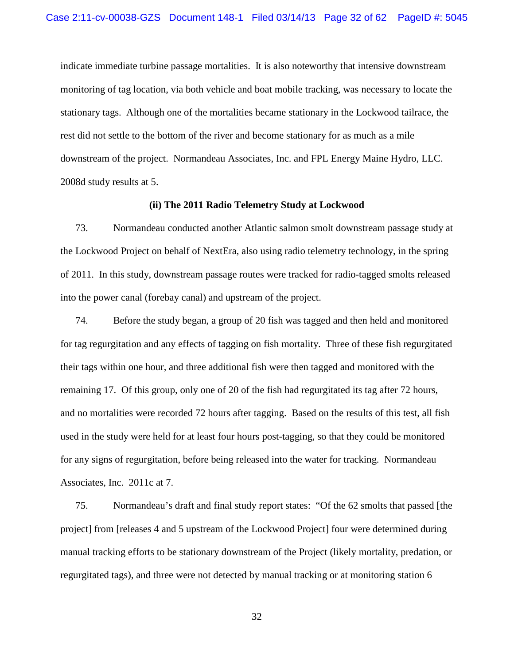indicate immediate turbine passage mortalities. It is also noteworthy that intensive downstream monitoring of tag location, via both vehicle and boat mobile tracking, was necessary to locate the stationary tags. Although one of the mortalities became stationary in the Lockwood tailrace, the rest did not settle to the bottom of the river and become stationary for as much as a mile downstream of the project. Normandeau Associates, Inc. and FPL Energy Maine Hydro, LLC. 2008d study results at 5.

#### **(ii) The 2011 Radio Telemetry Study at Lockwood**

73. Normandeau conducted another Atlantic salmon smolt downstream passage study at the Lockwood Project on behalf of NextEra, also using radio telemetry technology, in the spring of 2011. In this study, downstream passage routes were tracked for radio-tagged smolts released into the power canal (forebay canal) and upstream of the project.

74. Before the study began, a group of 20 fish was tagged and then held and monitored for tag regurgitation and any effects of tagging on fish mortality. Three of these fish regurgitated their tags within one hour, and three additional fish were then tagged and monitored with the remaining 17. Of this group, only one of 20 of the fish had regurgitated its tag after 72 hours, and no mortalities were recorded 72 hours after tagging. Based on the results of this test, all fish used in the study were held for at least four hours post-tagging, so that they could be monitored for any signs of regurgitation, before being released into the water for tracking. Normandeau Associates, Inc. 2011c at 7.

75. Normandeau's draft and final study report states: "Of the 62 smolts that passed [the project] from [releases 4 and 5 upstream of the Lockwood Project] four were determined during manual tracking efforts to be stationary downstream of the Project (likely mortality, predation, or regurgitated tags), and three were not detected by manual tracking or at monitoring station 6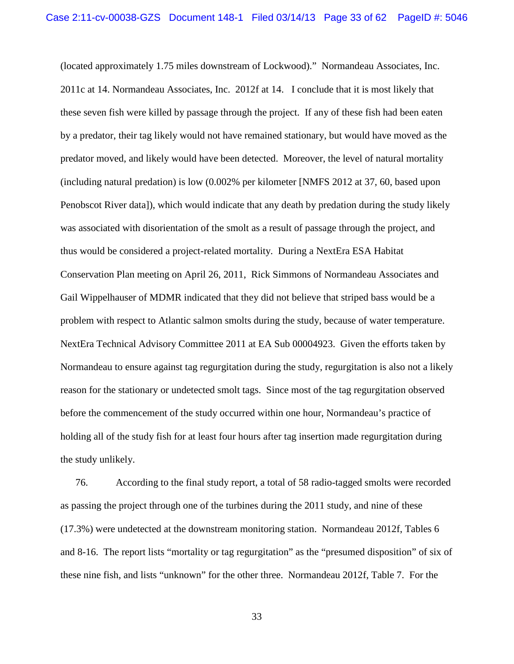(located approximately 1.75 miles downstream of Lockwood)." Normandeau Associates, Inc. 2011c at 14. Normandeau Associates, Inc. 2012f at 14. I conclude that it is most likely that these seven fish were killed by passage through the project. If any of these fish had been eaten by a predator, their tag likely would not have remained stationary, but would have moved as the predator moved, and likely would have been detected. Moreover, the level of natural mortality (including natural predation) is low (0.002% per kilometer [NMFS 2012 at 37, 60, based upon Penobscot River data]), which would indicate that any death by predation during the study likely was associated with disorientation of the smolt as a result of passage through the project, and thus would be considered a project-related mortality. During a NextEra ESA Habitat Conservation Plan meeting on April 26, 2011, Rick Simmons of Normandeau Associates and Gail Wippelhauser of MDMR indicated that they did not believe that striped bass would be a problem with respect to Atlantic salmon smolts during the study, because of water temperature. NextEra Technical Advisory Committee 2011 at EA Sub 00004923. Given the efforts taken by Normandeau to ensure against tag regurgitation during the study, regurgitation is also not a likely reason for the stationary or undetected smolt tags. Since most of the tag regurgitation observed before the commencement of the study occurred within one hour, Normandeau's practice of holding all of the study fish for at least four hours after tag insertion made regurgitation during the study unlikely.

76. According to the final study report, a total of 58 radio-tagged smolts were recorded as passing the project through one of the turbines during the 2011 study, and nine of these (17.3%) were undetected at the downstream monitoring station. Normandeau 2012f, Tables 6 and 8-16. The report lists "mortality or tag regurgitation" as the "presumed disposition" of six of these nine fish, and lists "unknown" for the other three. Normandeau 2012f, Table 7. For the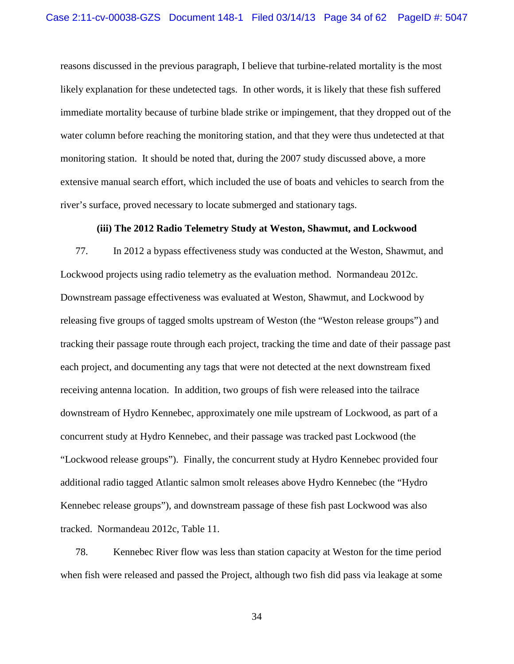reasons discussed in the previous paragraph, I believe that turbine-related mortality is the most likely explanation for these undetected tags. In other words, it is likely that these fish suffered immediate mortality because of turbine blade strike or impingement, that they dropped out of the water column before reaching the monitoring station, and that they were thus undetected at that monitoring station. It should be noted that, during the 2007 study discussed above, a more extensive manual search effort, which included the use of boats and vehicles to search from the river's surface, proved necessary to locate submerged and stationary tags.

#### **(iii) The 2012 Radio Telemetry Study at Weston, Shawmut, and Lockwood**

77. In 2012 a bypass effectiveness study was conducted at the Weston, Shawmut, and Lockwood projects using radio telemetry as the evaluation method. Normandeau 2012c. Downstream passage effectiveness was evaluated at Weston, Shawmut, and Lockwood by releasing five groups of tagged smolts upstream of Weston (the "Weston release groups") and tracking their passage route through each project, tracking the time and date of their passage past each project, and documenting any tags that were not detected at the next downstream fixed receiving antenna location. In addition, two groups of fish were released into the tailrace downstream of Hydro Kennebec, approximately one mile upstream of Lockwood, as part of a concurrent study at Hydro Kennebec, and their passage was tracked past Lockwood (the "Lockwood release groups"). Finally, the concurrent study at Hydro Kennebec provided four additional radio tagged Atlantic salmon smolt releases above Hydro Kennebec (the "Hydro Kennebec release groups"), and downstream passage of these fish past Lockwood was also tracked. Normandeau 2012c, Table 11.

78. Kennebec River flow was less than station capacity at Weston for the time period when fish were released and passed the Project, although two fish did pass via leakage at some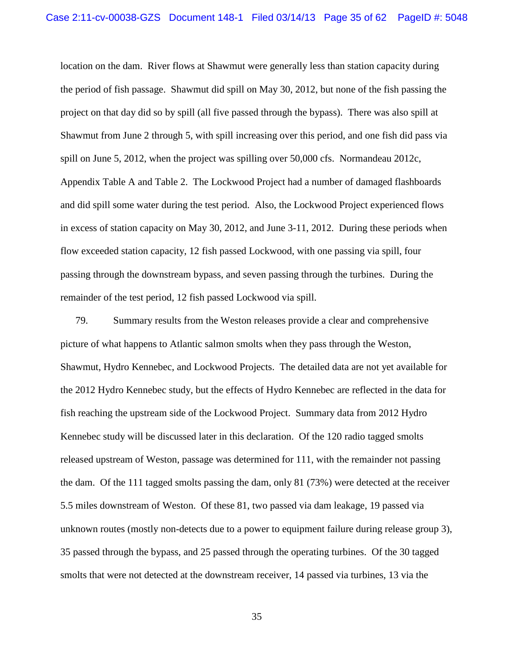location on the dam. River flows at Shawmut were generally less than station capacity during the period of fish passage. Shawmut did spill on May 30, 2012, but none of the fish passing the project on that day did so by spill (all five passed through the bypass). There was also spill at Shawmut from June 2 through 5, with spill increasing over this period, and one fish did pass via spill on June 5, 2012, when the project was spilling over 50,000 cfs. Normandeau 2012c, Appendix Table A and Table 2. The Lockwood Project had a number of damaged flashboards and did spill some water during the test period. Also, the Lockwood Project experienced flows in excess of station capacity on May 30, 2012, and June 3-11, 2012. During these periods when flow exceeded station capacity, 12 fish passed Lockwood, with one passing via spill, four passing through the downstream bypass, and seven passing through the turbines. During the remainder of the test period, 12 fish passed Lockwood via spill.

79. Summary results from the Weston releases provide a clear and comprehensive picture of what happens to Atlantic salmon smolts when they pass through the Weston, Shawmut, Hydro Kennebec, and Lockwood Projects. The detailed data are not yet available for the 2012 Hydro Kennebec study, but the effects of Hydro Kennebec are reflected in the data for fish reaching the upstream side of the Lockwood Project. Summary data from 2012 Hydro Kennebec study will be discussed later in this declaration. Of the 120 radio tagged smolts released upstream of Weston, passage was determined for 111, with the remainder not passing the dam. Of the 111 tagged smolts passing the dam, only 81 (73%) were detected at the receiver 5.5 miles downstream of Weston. Of these 81, two passed via dam leakage, 19 passed via unknown routes (mostly non-detects due to a power to equipment failure during release group 3), 35 passed through the bypass, and 25 passed through the operating turbines. Of the 30 tagged smolts that were not detected at the downstream receiver, 14 passed via turbines, 13 via the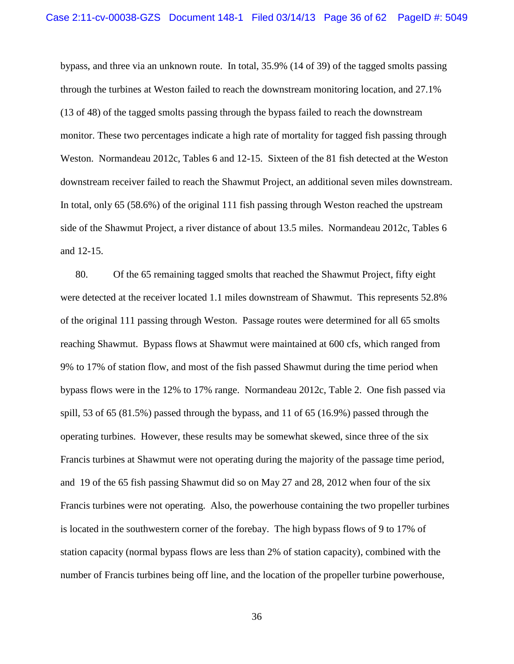bypass, and three via an unknown route. In total, 35.9% (14 of 39) of the tagged smolts passing through the turbines at Weston failed to reach the downstream monitoring location, and 27.1% (13 of 48) of the tagged smolts passing through the bypass failed to reach the downstream monitor. These two percentages indicate a high rate of mortality for tagged fish passing through Weston. Normandeau 2012c, Tables 6 and 12-15. Sixteen of the 81 fish detected at the Weston downstream receiver failed to reach the Shawmut Project, an additional seven miles downstream. In total, only 65 (58.6%) of the original 111 fish passing through Weston reached the upstream side of the Shawmut Project, a river distance of about 13.5 miles. Normandeau 2012c, Tables 6 and 12-15.

80. Of the 65 remaining tagged smolts that reached the Shawmut Project, fifty eight were detected at the receiver located 1.1 miles downstream of Shawmut. This represents 52.8% of the original 111 passing through Weston. Passage routes were determined for all 65 smolts reaching Shawmut. Bypass flows at Shawmut were maintained at 600 cfs, which ranged from 9% to 17% of station flow, and most of the fish passed Shawmut during the time period when bypass flows were in the 12% to 17% range. Normandeau 2012c, Table 2. One fish passed via spill, 53 of 65 (81.5%) passed through the bypass, and 11 of 65 (16.9%) passed through the operating turbines. However, these results may be somewhat skewed, since three of the six Francis turbines at Shawmut were not operating during the majority of the passage time period, and 19 of the 65 fish passing Shawmut did so on May 27 and 28, 2012 when four of the six Francis turbines were not operating. Also, the powerhouse containing the two propeller turbines is located in the southwestern corner of the forebay. The high bypass flows of 9 to 17% of station capacity (normal bypass flows are less than 2% of station capacity), combined with the number of Francis turbines being off line, and the location of the propeller turbine powerhouse,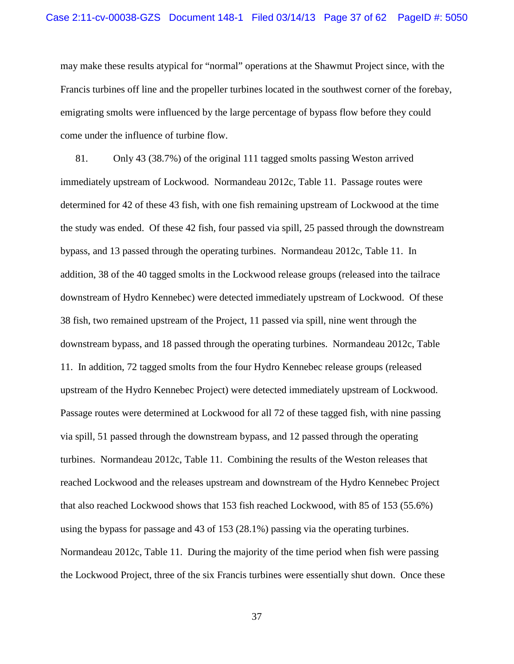may make these results atypical for "normal" operations at the Shawmut Project since, with the Francis turbines off line and the propeller turbines located in the southwest corner of the forebay, emigrating smolts were influenced by the large percentage of bypass flow before they could come under the influence of turbine flow.

81. Only 43 (38.7%) of the original 111 tagged smolts passing Weston arrived immediately upstream of Lockwood. Normandeau 2012c, Table 11. Passage routes were determined for 42 of these 43 fish, with one fish remaining upstream of Lockwood at the time the study was ended. Of these 42 fish, four passed via spill, 25 passed through the downstream bypass, and 13 passed through the operating turbines. Normandeau 2012c, Table 11. In addition, 38 of the 40 tagged smolts in the Lockwood release groups (released into the tailrace downstream of Hydro Kennebec) were detected immediately upstream of Lockwood. Of these 38 fish, two remained upstream of the Project, 11 passed via spill, nine went through the downstream bypass, and 18 passed through the operating turbines. Normandeau 2012c, Table 11. In addition, 72 tagged smolts from the four Hydro Kennebec release groups (released upstream of the Hydro Kennebec Project) were detected immediately upstream of Lockwood. Passage routes were determined at Lockwood for all 72 of these tagged fish, with nine passing via spill, 51 passed through the downstream bypass, and 12 passed through the operating turbines. Normandeau 2012c, Table 11. Combining the results of the Weston releases that reached Lockwood and the releases upstream and downstream of the Hydro Kennebec Project that also reached Lockwood shows that 153 fish reached Lockwood, with 85 of 153 (55.6%) using the bypass for passage and 43 of 153 (28.1%) passing via the operating turbines. Normandeau 2012c, Table 11. During the majority of the time period when fish were passing the Lockwood Project, three of the six Francis turbines were essentially shut down. Once these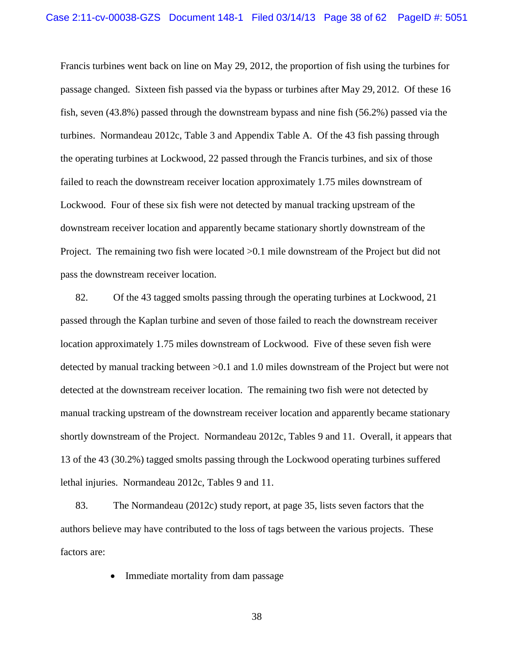Francis turbines went back on line on May 29, 2012, the proportion of fish using the turbines for passage changed. Sixteen fish passed via the bypass or turbines after May 29, 2012. Of these 16 fish, seven (43.8%) passed through the downstream bypass and nine fish (56.2%) passed via the turbines. Normandeau 2012c, Table 3 and Appendix Table A. Of the 43 fish passing through the operating turbines at Lockwood, 22 passed through the Francis turbines, and six of those failed to reach the downstream receiver location approximately 1.75 miles downstream of Lockwood. Four of these six fish were not detected by manual tracking upstream of the downstream receiver location and apparently became stationary shortly downstream of the Project. The remaining two fish were located >0.1 mile downstream of the Project but did not pass the downstream receiver location.

82. Of the 43 tagged smolts passing through the operating turbines at Lockwood, 21 passed through the Kaplan turbine and seven of those failed to reach the downstream receiver location approximately 1.75 miles downstream of Lockwood. Five of these seven fish were detected by manual tracking between >0.1 and 1.0 miles downstream of the Project but were not detected at the downstream receiver location. The remaining two fish were not detected by manual tracking upstream of the downstream receiver location and apparently became stationary shortly downstream of the Project. Normandeau 2012c, Tables 9 and 11. Overall, it appears that 13 of the 43 (30.2%) tagged smolts passing through the Lockwood operating turbines suffered lethal injuries. Normandeau 2012c, Tables 9 and 11.

83. The Normandeau (2012c) study report, at page 35, lists seven factors that the authors believe may have contributed to the loss of tags between the various projects. These factors are:

• Immediate mortality from dam passage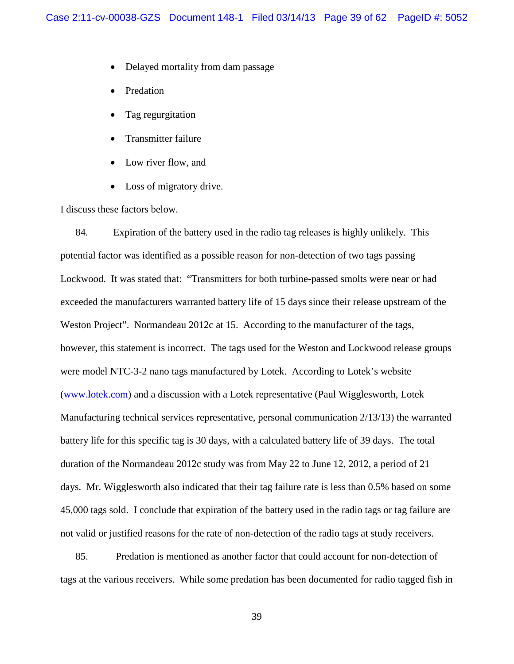- Delayed mortality from dam passage
- **Predation**
- Tag regurgitation
- Transmitter failure
- Low river flow, and
- Loss of migratory drive.

I discuss these factors below.

84. Expiration of the battery used in the radio tag releases is highly unlikely. This potential factor was identified as a possible reason for non-detection of two tags passing Lockwood. It was stated that: "Transmitters for both turbine-passed smolts were near or had exceeded the manufacturers warranted battery life of 15 days since their release upstream of the Weston Project". Normandeau 2012c at 15. According to the manufacturer of the tags, however, this statement is incorrect. The tags used for the Weston and Lockwood release groups were model NTC-3-2 nano tags manufactured by Lotek. According to Lotek's website [\(www.lotek.com\)](http://www.lotek.com/) and a discussion with a Lotek representative (Paul Wigglesworth, Lotek Manufacturing technical services representative, personal communication 2/13/13) the warranted battery life for this specific tag is 30 days, with a calculated battery life of 39 days. The total duration of the Normandeau 2012c study was from May 22 to June 12, 2012, a period of 21 days. Mr. Wigglesworth also indicated that their tag failure rate is less than 0.5% based on some 45,000 tags sold. I conclude that expiration of the battery used in the radio tags or tag failure are not valid or justified reasons for the rate of non-detection of the radio tags at study receivers.

85. Predation is mentioned as another factor that could account for non-detection of tags at the various receivers. While some predation has been documented for radio tagged fish in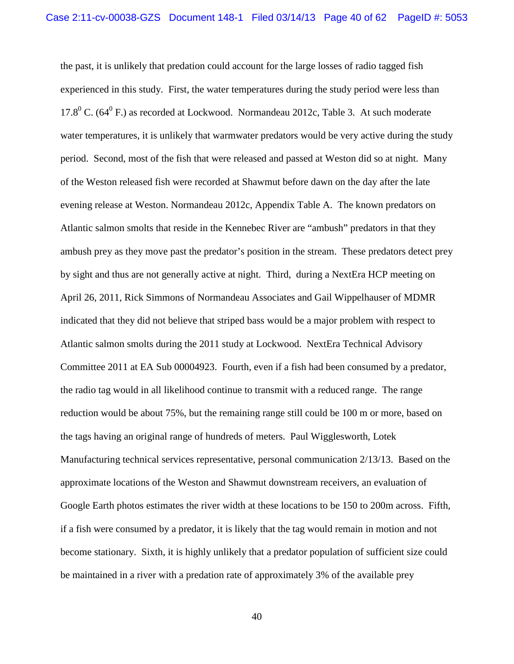the past, it is unlikely that predation could account for the large losses of radio tagged fish experienced in this study. First, the water temperatures during the study period were less than 17.8 $^0$  C. (64 $^0$  F.) as recorded at Lockwood. Normandeau 2012c, Table 3. At such moderate water temperatures, it is unlikely that warmwater predators would be very active during the study period. Second, most of the fish that were released and passed at Weston did so at night. Many of the Weston released fish were recorded at Shawmut before dawn on the day after the late evening release at Weston. Normandeau 2012c, Appendix Table A. The known predators on Atlantic salmon smolts that reside in the Kennebec River are "ambush" predators in that they ambush prey as they move past the predator's position in the stream. These predators detect prey by sight and thus are not generally active at night. Third, during a NextEra HCP meeting on April 26, 2011, Rick Simmons of Normandeau Associates and Gail Wippelhauser of MDMR indicated that they did not believe that striped bass would be a major problem with respect to Atlantic salmon smolts during the 2011 study at Lockwood. NextEra Technical Advisory Committee 2011 at EA Sub 00004923. Fourth, even if a fish had been consumed by a predator, the radio tag would in all likelihood continue to transmit with a reduced range. The range reduction would be about 75%, but the remaining range still could be 100 m or more, based on the tags having an original range of hundreds of meters. Paul Wigglesworth, Lotek Manufacturing technical services representative, personal communication 2/13/13. Based on the approximate locations of the Weston and Shawmut downstream receivers, an evaluation of Google Earth photos estimates the river width at these locations to be 150 to 200m across. Fifth, if a fish were consumed by a predator, it is likely that the tag would remain in motion and not become stationary. Sixth, it is highly unlikely that a predator population of sufficient size could be maintained in a river with a predation rate of approximately 3% of the available prey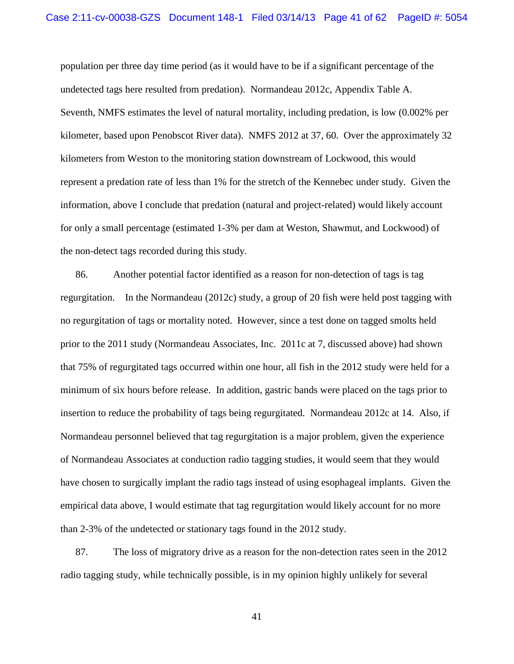population per three day time period (as it would have to be if a significant percentage of the undetected tags here resulted from predation). Normandeau 2012c, Appendix Table A. Seventh, NMFS estimates the level of natural mortality, including predation, is low (0.002% per kilometer, based upon Penobscot River data). NMFS 2012 at 37, 60. Over the approximately 32 kilometers from Weston to the monitoring station downstream of Lockwood, this would represent a predation rate of less than 1% for the stretch of the Kennebec under study. Given the information, above I conclude that predation (natural and project-related) would likely account for only a small percentage (estimated 1-3% per dam at Weston, Shawmut, and Lockwood) of the non-detect tags recorded during this study.

86. Another potential factor identified as a reason for non-detection of tags is tag regurgitation. In the Normandeau (2012c) study, a group of 20 fish were held post tagging with no regurgitation of tags or mortality noted. However, since a test done on tagged smolts held prior to the 2011 study (Normandeau Associates, Inc. 2011c at 7, discussed above) had shown that 75% of regurgitated tags occurred within one hour, all fish in the 2012 study were held for a minimum of six hours before release. In addition, gastric bands were placed on the tags prior to insertion to reduce the probability of tags being regurgitated. Normandeau 2012c at 14. Also, if Normandeau personnel believed that tag regurgitation is a major problem, given the experience of Normandeau Associates at conduction radio tagging studies, it would seem that they would have chosen to surgically implant the radio tags instead of using esophageal implants. Given the empirical data above, I would estimate that tag regurgitation would likely account for no more than 2-3% of the undetected or stationary tags found in the 2012 study.

87. The loss of migratory drive as a reason for the non-detection rates seen in the 2012 radio tagging study, while technically possible, is in my opinion highly unlikely for several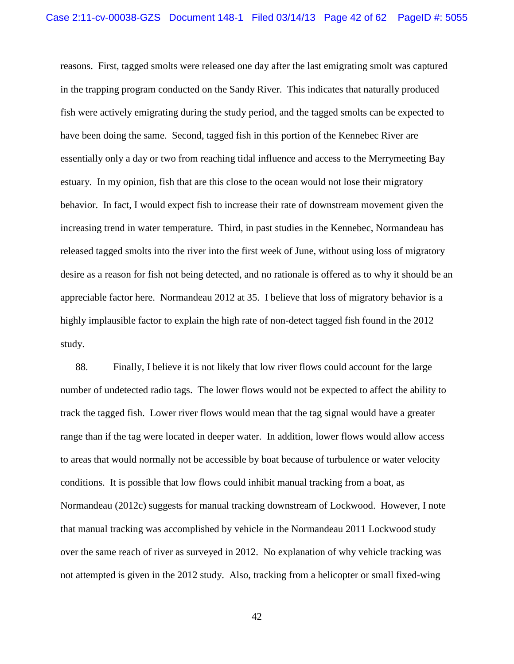reasons. First, tagged smolts were released one day after the last emigrating smolt was captured in the trapping program conducted on the Sandy River. This indicates that naturally produced fish were actively emigrating during the study period, and the tagged smolts can be expected to have been doing the same. Second, tagged fish in this portion of the Kennebec River are essentially only a day or two from reaching tidal influence and access to the Merrymeeting Bay estuary. In my opinion, fish that are this close to the ocean would not lose their migratory behavior. In fact, I would expect fish to increase their rate of downstream movement given the increasing trend in water temperature. Third, in past studies in the Kennebec, Normandeau has released tagged smolts into the river into the first week of June, without using loss of migratory desire as a reason for fish not being detected, and no rationale is offered as to why it should be an appreciable factor here. Normandeau 2012 at 35. I believe that loss of migratory behavior is a highly implausible factor to explain the high rate of non-detect tagged fish found in the 2012 study.

88. Finally, I believe it is not likely that low river flows could account for the large number of undetected radio tags. The lower flows would not be expected to affect the ability to track the tagged fish. Lower river flows would mean that the tag signal would have a greater range than if the tag were located in deeper water. In addition, lower flows would allow access to areas that would normally not be accessible by boat because of turbulence or water velocity conditions. It is possible that low flows could inhibit manual tracking from a boat, as Normandeau (2012c) suggests for manual tracking downstream of Lockwood. However, I note that manual tracking was accomplished by vehicle in the Normandeau 2011 Lockwood study over the same reach of river as surveyed in 2012. No explanation of why vehicle tracking was not attempted is given in the 2012 study. Also, tracking from a helicopter or small fixed-wing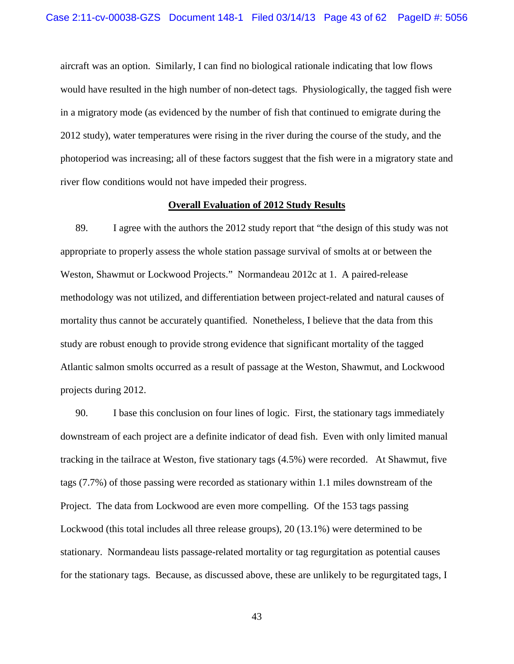aircraft was an option. Similarly, I can find no biological rationale indicating that low flows would have resulted in the high number of non-detect tags. Physiologically, the tagged fish were in a migratory mode (as evidenced by the number of fish that continued to emigrate during the 2012 study), water temperatures were rising in the river during the course of the study, and the photoperiod was increasing; all of these factors suggest that the fish were in a migratory state and river flow conditions would not have impeded their progress.

#### **Overall Evaluation of 2012 Study Results**

89. I agree with the authors the 2012 study report that "the design of this study was not appropriate to properly assess the whole station passage survival of smolts at or between the Weston, Shawmut or Lockwood Projects." Normandeau 2012c at 1. A paired-release methodology was not utilized, and differentiation between project-related and natural causes of mortality thus cannot be accurately quantified. Nonetheless, I believe that the data from this study are robust enough to provide strong evidence that significant mortality of the tagged Atlantic salmon smolts occurred as a result of passage at the Weston, Shawmut, and Lockwood projects during 2012.

90. I base this conclusion on four lines of logic. First, the stationary tags immediately downstream of each project are a definite indicator of dead fish. Even with only limited manual tracking in the tailrace at Weston, five stationary tags (4.5%) were recorded. At Shawmut, five tags (7.7%) of those passing were recorded as stationary within 1.1 miles downstream of the Project. The data from Lockwood are even more compelling. Of the 153 tags passing Lockwood (this total includes all three release groups), 20 (13.1%) were determined to be stationary. Normandeau lists passage-related mortality or tag regurgitation as potential causes for the stationary tags. Because, as discussed above, these are unlikely to be regurgitated tags, I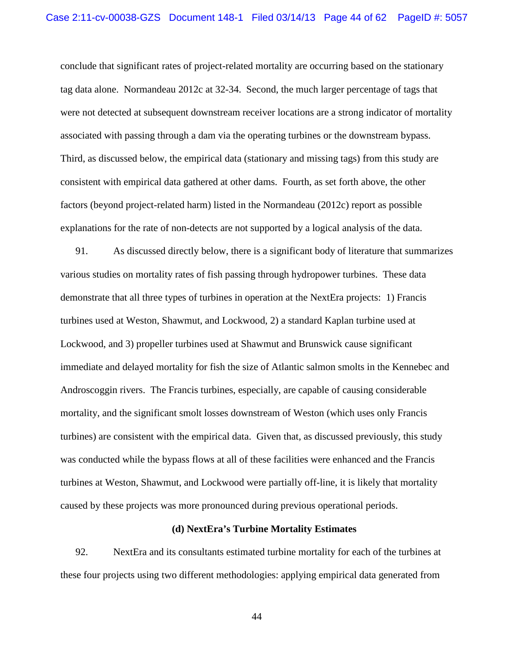conclude that significant rates of project-related mortality are occurring based on the stationary tag data alone. Normandeau 2012c at 32-34. Second, the much larger percentage of tags that were not detected at subsequent downstream receiver locations are a strong indicator of mortality associated with passing through a dam via the operating turbines or the downstream bypass. Third, as discussed below, the empirical data (stationary and missing tags) from this study are consistent with empirical data gathered at other dams. Fourth, as set forth above, the other factors (beyond project-related harm) listed in the Normandeau (2012c) report as possible explanations for the rate of non-detects are not supported by a logical analysis of the data.

91. As discussed directly below, there is a significant body of literature that summarizes various studies on mortality rates of fish passing through hydropower turbines. These data demonstrate that all three types of turbines in operation at the NextEra projects: 1) Francis turbines used at Weston, Shawmut, and Lockwood, 2) a standard Kaplan turbine used at Lockwood, and 3) propeller turbines used at Shawmut and Brunswick cause significant immediate and delayed mortality for fish the size of Atlantic salmon smolts in the Kennebec and Androscoggin rivers. The Francis turbines, especially, are capable of causing considerable mortality, and the significant smolt losses downstream of Weston (which uses only Francis turbines) are consistent with the empirical data. Given that, as discussed previously, this study was conducted while the bypass flows at all of these facilities were enhanced and the Francis turbines at Weston, Shawmut, and Lockwood were partially off-line, it is likely that mortality caused by these projects was more pronounced during previous operational periods.

### **(d) NextEra's Turbine Mortality Estimates**

92. NextEra and its consultants estimated turbine mortality for each of the turbines at these four projects using two different methodologies: applying empirical data generated from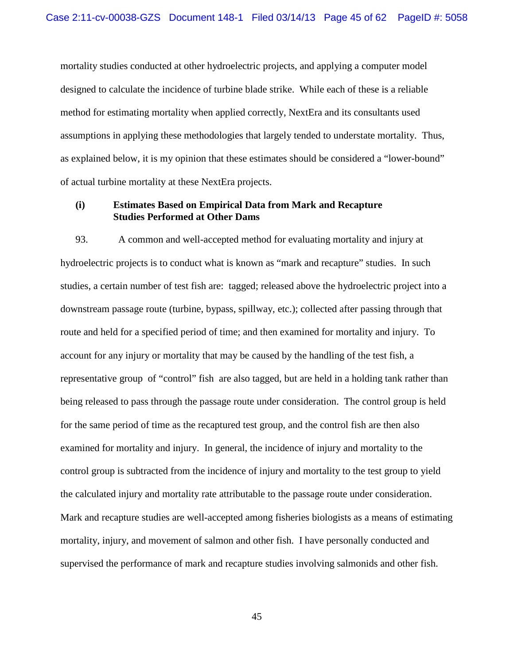mortality studies conducted at other hydroelectric projects, and applying a computer model designed to calculate the incidence of turbine blade strike. While each of these is a reliable method for estimating mortality when applied correctly, NextEra and its consultants used assumptions in applying these methodologies that largely tended to understate mortality. Thus, as explained below, it is my opinion that these estimates should be considered a "lower-bound" of actual turbine mortality at these NextEra projects.

# **(i) Estimates Based on Empirical Data from Mark and Recapture Studies Performed at Other Dams**

93. A common and well-accepted method for evaluating mortality and injury at hydroelectric projects is to conduct what is known as "mark and recapture" studies. In such studies, a certain number of test fish are: tagged; released above the hydroelectric project into a downstream passage route (turbine, bypass, spillway, etc.); collected after passing through that route and held for a specified period of time; and then examined for mortality and injury. To account for any injury or mortality that may be caused by the handling of the test fish, a representative group of "control" fish are also tagged, but are held in a holding tank rather than being released to pass through the passage route under consideration. The control group is held for the same period of time as the recaptured test group, and the control fish are then also examined for mortality and injury. In general, the incidence of injury and mortality to the control group is subtracted from the incidence of injury and mortality to the test group to yield the calculated injury and mortality rate attributable to the passage route under consideration. Mark and recapture studies are well-accepted among fisheries biologists as a means of estimating mortality, injury, and movement of salmon and other fish. I have personally conducted and supervised the performance of mark and recapture studies involving salmonids and other fish.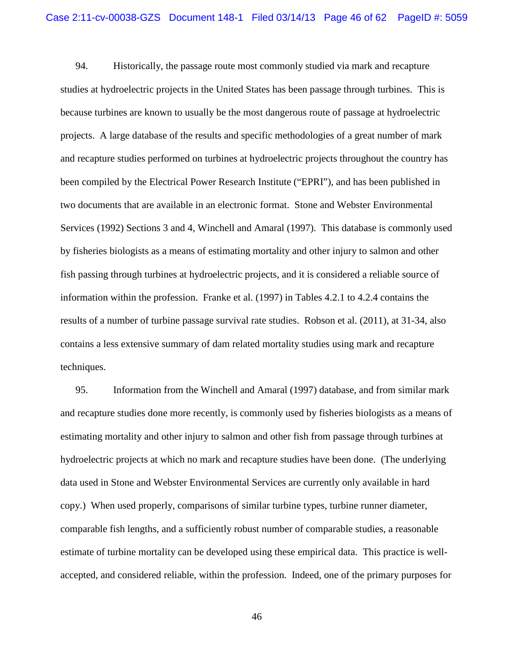94. Historically, the passage route most commonly studied via mark and recapture studies at hydroelectric projects in the United States has been passage through turbines. This is because turbines are known to usually be the most dangerous route of passage at hydroelectric projects. A large database of the results and specific methodologies of a great number of mark and recapture studies performed on turbines at hydroelectric projects throughout the country has been compiled by the Electrical Power Research Institute ("EPRI"), and has been published in two documents that are available in an electronic format. Stone and Webster Environmental Services (1992) Sections 3 and 4, Winchell and Amaral (1997). This database is commonly used by fisheries biologists as a means of estimating mortality and other injury to salmon and other fish passing through turbines at hydroelectric projects, and it is considered a reliable source of information within the profession. Franke et al. (1997) in Tables 4.2.1 to 4.2.4 contains the results of a number of turbine passage survival rate studies. Robson et al. (2011), at 31-34, also contains a less extensive summary of dam related mortality studies using mark and recapture techniques.

95. Information from the Winchell and Amaral (1997) database, and from similar mark and recapture studies done more recently, is commonly used by fisheries biologists as a means of estimating mortality and other injury to salmon and other fish from passage through turbines at hydroelectric projects at which no mark and recapture studies have been done. (The underlying data used in Stone and Webster Environmental Services are currently only available in hard copy.) When used properly, comparisons of similar turbine types, turbine runner diameter, comparable fish lengths, and a sufficiently robust number of comparable studies, a reasonable estimate of turbine mortality can be developed using these empirical data. This practice is wellaccepted, and considered reliable, within the profession. Indeed, one of the primary purposes for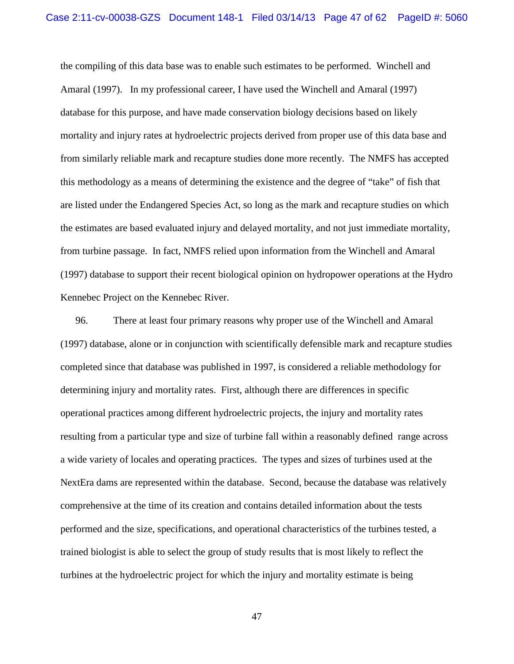the compiling of this data base was to enable such estimates to be performed. Winchell and Amaral (1997). In my professional career, I have used the Winchell and Amaral (1997) database for this purpose, and have made conservation biology decisions based on likely mortality and injury rates at hydroelectric projects derived from proper use of this data base and from similarly reliable mark and recapture studies done more recently. The NMFS has accepted this methodology as a means of determining the existence and the degree of "take" of fish that are listed under the Endangered Species Act, so long as the mark and recapture studies on which the estimates are based evaluated injury and delayed mortality, and not just immediate mortality, from turbine passage. In fact, NMFS relied upon information from the Winchell and Amaral (1997) database to support their recent biological opinion on hydropower operations at the Hydro Kennebec Project on the Kennebec River.

96. There at least four primary reasons why proper use of the Winchell and Amaral (1997) database, alone or in conjunction with scientifically defensible mark and recapture studies completed since that database was published in 1997, is considered a reliable methodology for determining injury and mortality rates. First, although there are differences in specific operational practices among different hydroelectric projects, the injury and mortality rates resulting from a particular type and size of turbine fall within a reasonably defined range across a wide variety of locales and operating practices. The types and sizes of turbines used at the NextEra dams are represented within the database. Second, because the database was relatively comprehensive at the time of its creation and contains detailed information about the tests performed and the size, specifications, and operational characteristics of the turbines tested, a trained biologist is able to select the group of study results that is most likely to reflect the turbines at the hydroelectric project for which the injury and mortality estimate is being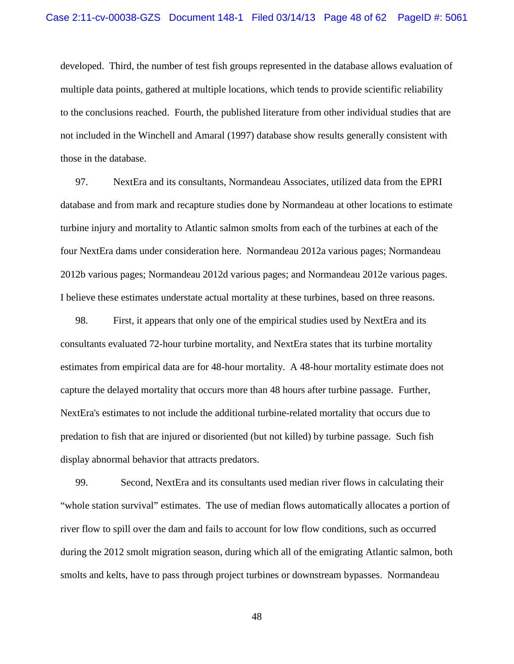developed. Third, the number of test fish groups represented in the database allows evaluation of multiple data points, gathered at multiple locations, which tends to provide scientific reliability to the conclusions reached. Fourth, the published literature from other individual studies that are not included in the Winchell and Amaral (1997) database show results generally consistent with those in the database.

97. NextEra and its consultants, Normandeau Associates, utilized data from the EPRI database and from mark and recapture studies done by Normandeau at other locations to estimate turbine injury and mortality to Atlantic salmon smolts from each of the turbines at each of the four NextEra dams under consideration here. Normandeau 2012a various pages; Normandeau 2012b various pages; Normandeau 2012d various pages; and Normandeau 2012e various pages. I believe these estimates understate actual mortality at these turbines, based on three reasons.

98. First, it appears that only one of the empirical studies used by NextEra and its consultants evaluated 72-hour turbine mortality, and NextEra states that its turbine mortality estimates from empirical data are for 48-hour mortality. A 48-hour mortality estimate does not capture the delayed mortality that occurs more than 48 hours after turbine passage. Further, NextEra's estimates to not include the additional turbine-related mortality that occurs due to predation to fish that are injured or disoriented (but not killed) by turbine passage. Such fish display abnormal behavior that attracts predators.

99. Second, NextEra and its consultants used median river flows in calculating their "whole station survival" estimates. The use of median flows automatically allocates a portion of river flow to spill over the dam and fails to account for low flow conditions, such as occurred during the 2012 smolt migration season, during which all of the emigrating Atlantic salmon, both smolts and kelts, have to pass through project turbines or downstream bypasses. Normandeau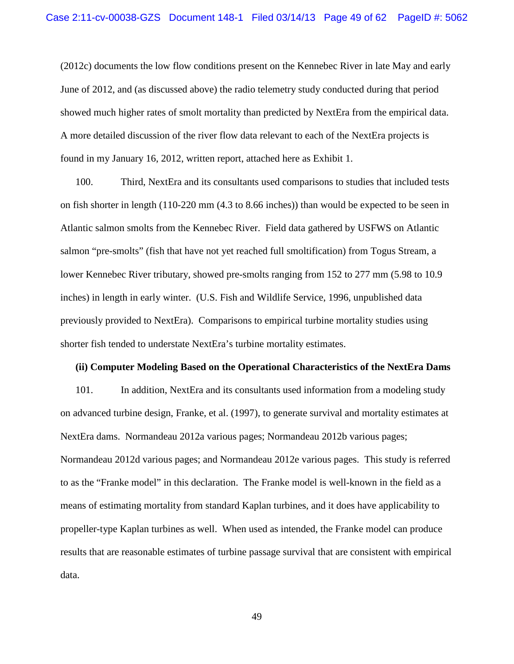(2012c) documents the low flow conditions present on the Kennebec River in late May and early June of 2012, and (as discussed above) the radio telemetry study conducted during that period showed much higher rates of smolt mortality than predicted by NextEra from the empirical data. A more detailed discussion of the river flow data relevant to each of the NextEra projects is found in my January 16, 2012, written report, attached here as Exhibit 1.

100. Third, NextEra and its consultants used comparisons to studies that included tests on fish shorter in length (110-220 mm (4.3 to 8.66 inches)) than would be expected to be seen in Atlantic salmon smolts from the Kennebec River. Field data gathered by USFWS on Atlantic salmon "pre-smolts" (fish that have not yet reached full smoltification) from Togus Stream, a lower Kennebec River tributary, showed pre-smolts ranging from 152 to 277 mm (5.98 to 10.9 inches) in length in early winter. (U.S. Fish and Wildlife Service, 1996, unpublished data previously provided to NextEra). Comparisons to empirical turbine mortality studies using shorter fish tended to understate NextEra's turbine mortality estimates.

#### **(ii) Computer Modeling Based on the Operational Characteristics of the NextEra Dams**

101. In addition, NextEra and its consultants used information from a modeling study on advanced turbine design, Franke, et al. (1997), to generate survival and mortality estimates at NextEra dams. Normandeau 2012a various pages; Normandeau 2012b various pages; Normandeau 2012d various pages; and Normandeau 2012e various pages. This study is referred to as the "Franke model" in this declaration. The Franke model is well-known in the field as a means of estimating mortality from standard Kaplan turbines, and it does have applicability to propeller-type Kaplan turbines as well. When used as intended, the Franke model can produce results that are reasonable estimates of turbine passage survival that are consistent with empirical data.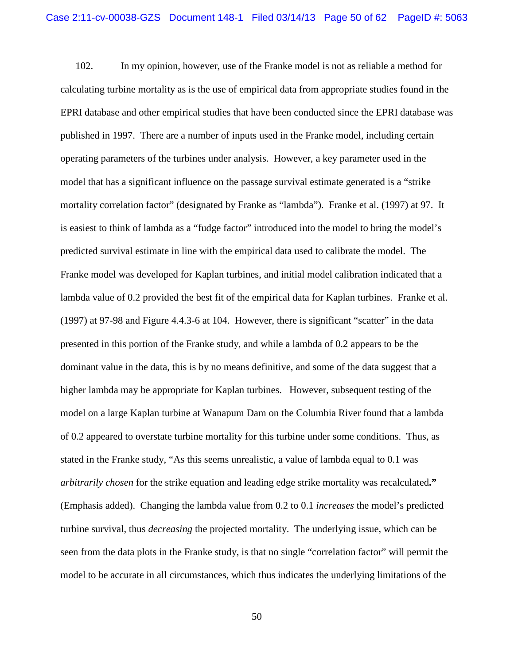102. In my opinion, however, use of the Franke model is not as reliable a method for calculating turbine mortality as is the use of empirical data from appropriate studies found in the EPRI database and other empirical studies that have been conducted since the EPRI database was published in 1997. There are a number of inputs used in the Franke model, including certain operating parameters of the turbines under analysis. However, a key parameter used in the model that has a significant influence on the passage survival estimate generated is a "strike mortality correlation factor" (designated by Franke as "lambda"). Franke et al. (1997) at 97. It is easiest to think of lambda as a "fudge factor" introduced into the model to bring the model's predicted survival estimate in line with the empirical data used to calibrate the model. The Franke model was developed for Kaplan turbines, and initial model calibration indicated that a lambda value of 0.2 provided the best fit of the empirical data for Kaplan turbines. Franke et al. (1997) at 97-98 and Figure 4.4.3-6 at 104. However, there is significant "scatter" in the data presented in this portion of the Franke study, and while a lambda of 0.2 appears to be the dominant value in the data, this is by no means definitive, and some of the data suggest that a higher lambda may be appropriate for Kaplan turbines. However, subsequent testing of the model on a large Kaplan turbine at Wanapum Dam on the Columbia River found that a lambda of 0.2 appeared to overstate turbine mortality for this turbine under some conditions. Thus, as stated in the Franke study, "As this seems unrealistic, a value of lambda equal to 0.1 was *arbitrarily chosen* for the strike equation and leading edge strike mortality was recalculated**."** (Emphasis added). Changing the lambda value from 0.2 to 0.1 *increases* the model's predicted turbine survival, thus *decreasing* the projected mortality. The underlying issue, which can be seen from the data plots in the Franke study, is that no single "correlation factor" will permit the model to be accurate in all circumstances, which thus indicates the underlying limitations of the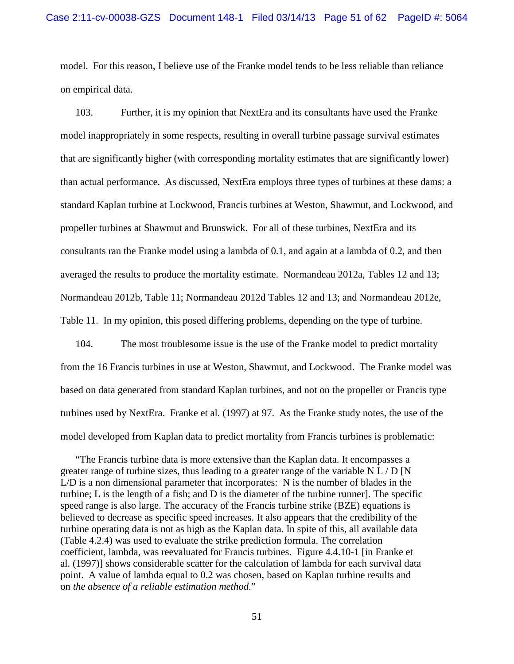model. For this reason, I believe use of the Franke model tends to be less reliable than reliance on empirical data.

103. Further, it is my opinion that NextEra and its consultants have used the Franke model inappropriately in some respects, resulting in overall turbine passage survival estimates that are significantly higher (with corresponding mortality estimates that are significantly lower) than actual performance. As discussed, NextEra employs three types of turbines at these dams: a standard Kaplan turbine at Lockwood, Francis turbines at Weston, Shawmut, and Lockwood, and propeller turbines at Shawmut and Brunswick. For all of these turbines, NextEra and its consultants ran the Franke model using a lambda of 0.1, and again at a lambda of 0.2, and then averaged the results to produce the mortality estimate. Normandeau 2012a, Tables 12 and 13; Normandeau 2012b, Table 11; Normandeau 2012d Tables 12 and 13; and Normandeau 2012e, Table 11. In my opinion, this posed differing problems, depending on the type of turbine.

104. The most troublesome issue is the use of the Franke model to predict mortality from the 16 Francis turbines in use at Weston, Shawmut, and Lockwood. The Franke model was based on data generated from standard Kaplan turbines, and not on the propeller or Francis type turbines used by NextEra. Franke et al. (1997) at 97. As the Franke study notes, the use of the model developed from Kaplan data to predict mortality from Francis turbines is problematic:

"The Francis turbine data is more extensive than the Kaplan data. It encompasses a greater range of turbine sizes, thus leading to a greater range of the variable  $N L / D N$ L/D is a non dimensional parameter that incorporates: N is the number of blades in the turbine; L is the length of a fish; and D is the diameter of the turbine runner]. The specific speed range is also large. The accuracy of the Francis turbine strike (BZE) equations is believed to decrease as specific speed increases. It also appears that the credibility of the turbine operating data is not as high as the Kaplan data. In spite of this, all available data (Table 4.2.4) was used to evaluate the strike prediction formula. The correlation coefficient, lambda, was reevaluated for Francis turbines. Figure 4.4.10-1 [in Franke et al. (1997)] shows considerable scatter for the calculation of lambda for each survival data point. A value of lambda equal to 0.2 was chosen, based on Kaplan turbine results and on *the absence of a reliable estimation method*."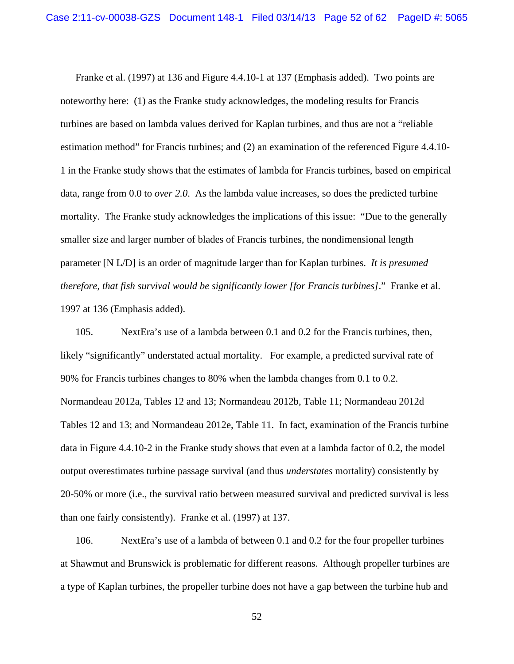Franke et al. (1997) at 136 and Figure 4.4.10-1 at 137 (Emphasis added). Two points are noteworthy here: (1) as the Franke study acknowledges, the modeling results for Francis turbines are based on lambda values derived for Kaplan turbines, and thus are not a "reliable estimation method" for Francis turbines; and (2) an examination of the referenced Figure 4.4.10- 1 in the Franke study shows that the estimates of lambda for Francis turbines, based on empirical data, range from 0.0 to *over 2.0*. As the lambda value increases, so does the predicted turbine mortality. The Franke study acknowledges the implications of this issue: "Due to the generally smaller size and larger number of blades of Francis turbines, the nondimensional length parameter [N L/D] is an order of magnitude larger than for Kaplan turbines. *It is presumed therefore, that fish survival would be significantly lower [for Francis turbines]*." Franke et al. 1997 at 136 (Emphasis added).

105. NextEra's use of a lambda between 0.1 and 0.2 for the Francis turbines, then, likely "significantly" understated actual mortality. For example, a predicted survival rate of 90% for Francis turbines changes to 80% when the lambda changes from 0.1 to 0.2. Normandeau 2012a, Tables 12 and 13; Normandeau 2012b, Table 11; Normandeau 2012d Tables 12 and 13; and Normandeau 2012e, Table 11. In fact, examination of the Francis turbine data in Figure 4.4.10-2 in the Franke study shows that even at a lambda factor of 0.2, the model output overestimates turbine passage survival (and thus *understates* mortality) consistently by 20-50% or more (i.e., the survival ratio between measured survival and predicted survival is less than one fairly consistently). Franke et al. (1997) at 137.

106. NextEra's use of a lambda of between 0.1 and 0.2 for the four propeller turbines at Shawmut and Brunswick is problematic for different reasons. Although propeller turbines are a type of Kaplan turbines, the propeller turbine does not have a gap between the turbine hub and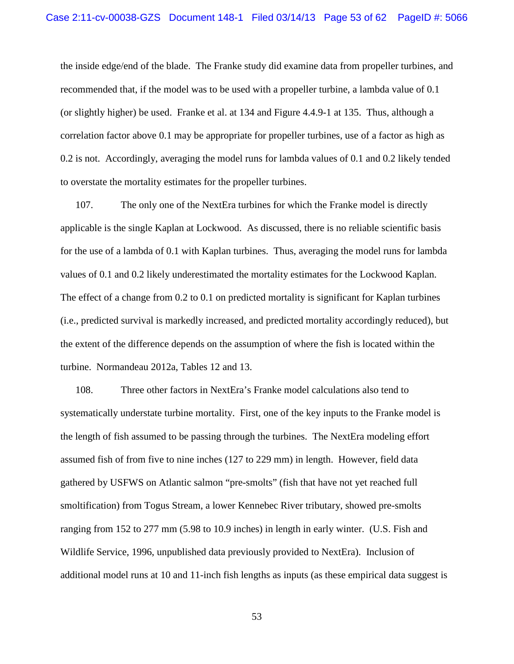the inside edge/end of the blade. The Franke study did examine data from propeller turbines, and recommended that, if the model was to be used with a propeller turbine, a lambda value of 0.1 (or slightly higher) be used. Franke et al. at 134 and Figure 4.4.9-1 at 135. Thus, although a correlation factor above 0.1 may be appropriate for propeller turbines, use of a factor as high as 0.2 is not. Accordingly, averaging the model runs for lambda values of 0.1 and 0.2 likely tended to overstate the mortality estimates for the propeller turbines.

107. The only one of the NextEra turbines for which the Franke model is directly applicable is the single Kaplan at Lockwood. As discussed, there is no reliable scientific basis for the use of a lambda of 0.1 with Kaplan turbines. Thus, averaging the model runs for lambda values of 0.1 and 0.2 likely underestimated the mortality estimates for the Lockwood Kaplan. The effect of a change from 0.2 to 0.1 on predicted mortality is significant for Kaplan turbines (i.e., predicted survival is markedly increased, and predicted mortality accordingly reduced), but the extent of the difference depends on the assumption of where the fish is located within the turbine. Normandeau 2012a, Tables 12 and 13.

108. Three other factors in NextEra's Franke model calculations also tend to systematically understate turbine mortality. First, one of the key inputs to the Franke model is the length of fish assumed to be passing through the turbines. The NextEra modeling effort assumed fish of from five to nine inches (127 to 229 mm) in length. However, field data gathered by USFWS on Atlantic salmon "pre-smolts" (fish that have not yet reached full smoltification) from Togus Stream, a lower Kennebec River tributary, showed pre-smolts ranging from 152 to 277 mm (5.98 to 10.9 inches) in length in early winter. (U.S. Fish and Wildlife Service, 1996, unpublished data previously provided to NextEra). Inclusion of additional model runs at 10 and 11-inch fish lengths as inputs (as these empirical data suggest is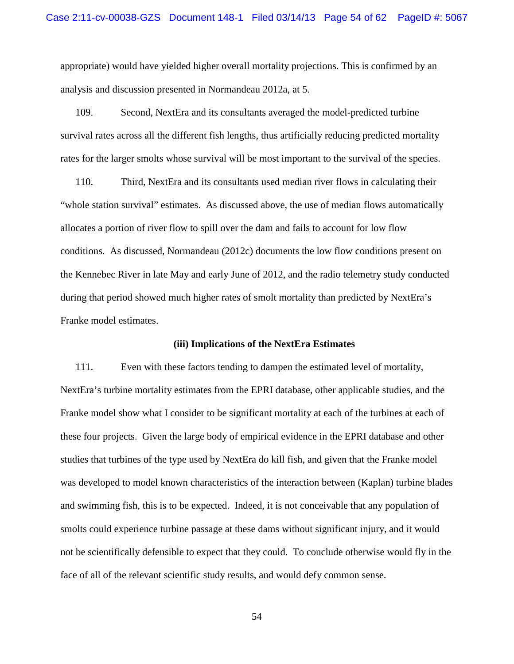appropriate) would have yielded higher overall mortality projections. This is confirmed by an analysis and discussion presented in Normandeau 2012a, at 5.

109. Second, NextEra and its consultants averaged the model-predicted turbine survival rates across all the different fish lengths, thus artificially reducing predicted mortality rates for the larger smolts whose survival will be most important to the survival of the species.

110. Third, NextEra and its consultants used median river flows in calculating their "whole station survival" estimates. As discussed above, the use of median flows automatically allocates a portion of river flow to spill over the dam and fails to account for low flow conditions. As discussed, Normandeau (2012c) documents the low flow conditions present on the Kennebec River in late May and early June of 2012, and the radio telemetry study conducted during that period showed much higher rates of smolt mortality than predicted by NextEra's Franke model estimates.

### **(iii) Implications of the NextEra Estimates**

111. Even with these factors tending to dampen the estimated level of mortality, NextEra's turbine mortality estimates from the EPRI database, other applicable studies, and the Franke model show what I consider to be significant mortality at each of the turbines at each of these four projects. Given the large body of empirical evidence in the EPRI database and other studies that turbines of the type used by NextEra do kill fish, and given that the Franke model was developed to model known characteristics of the interaction between (Kaplan) turbine blades and swimming fish, this is to be expected. Indeed, it is not conceivable that any population of smolts could experience turbine passage at these dams without significant injury, and it would not be scientifically defensible to expect that they could. To conclude otherwise would fly in the face of all of the relevant scientific study results, and would defy common sense.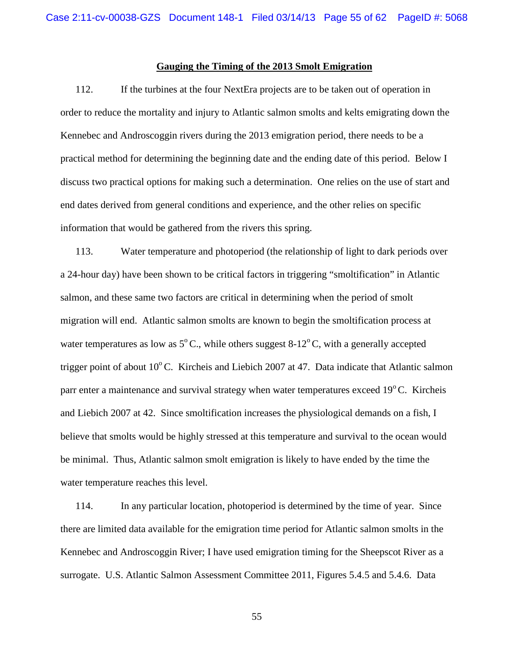### **Gauging the Timing of the 2013 Smolt Emigration**

112. If the turbines at the four NextEra projects are to be taken out of operation in order to reduce the mortality and injury to Atlantic salmon smolts and kelts emigrating down the Kennebec and Androscoggin rivers during the 2013 emigration period, there needs to be a practical method for determining the beginning date and the ending date of this period. Below I discuss two practical options for making such a determination. One relies on the use of start and end dates derived from general conditions and experience, and the other relies on specific information that would be gathered from the rivers this spring.

113. Water temperature and photoperiod (the relationship of light to dark periods over a 24-hour day) have been shown to be critical factors in triggering "smoltification" in Atlantic salmon, and these same two factors are critical in determining when the period of smolt migration will end. Atlantic salmon smolts are known to begin the smoltification process at water temperatures as low as  $5^{\circ}$ C., while others suggest 8-12<sup>o</sup>C, with a generally accepted trigger point of about  $10^{\circ}$ C. Kircheis and Liebich 2007 at 47. Data indicate that Atlantic salmon parr enter a maintenance and survival strategy when water temperatures exceed  $19^{\circ}$ C. Kircheis and Liebich 2007 at 42. Since smoltification increases the physiological demands on a fish, I believe that smolts would be highly stressed at this temperature and survival to the ocean would be minimal. Thus, Atlantic salmon smolt emigration is likely to have ended by the time the water temperature reaches this level.

114. In any particular location, photoperiod is determined by the time of year. Since there are limited data available for the emigration time period for Atlantic salmon smolts in the Kennebec and Androscoggin River; I have used emigration timing for the Sheepscot River as a surrogate. U.S. Atlantic Salmon Assessment Committee 2011, Figures 5.4.5 and 5.4.6. Data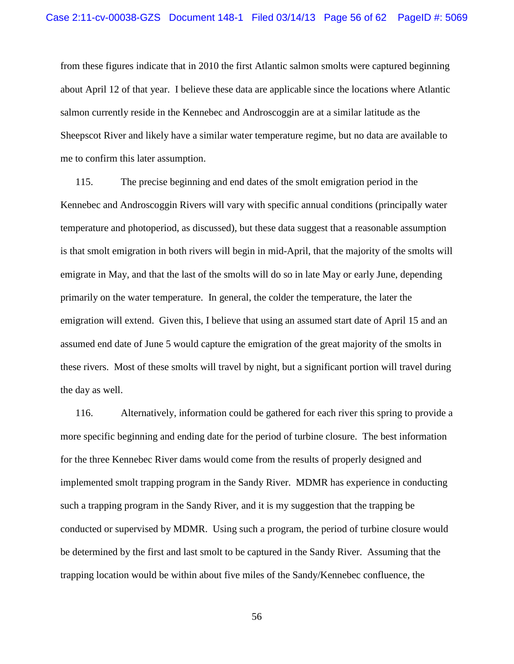from these figures indicate that in 2010 the first Atlantic salmon smolts were captured beginning about April 12 of that year. I believe these data are applicable since the locations where Atlantic salmon currently reside in the Kennebec and Androscoggin are at a similar latitude as the Sheepscot River and likely have a similar water temperature regime, but no data are available to me to confirm this later assumption.

115. The precise beginning and end dates of the smolt emigration period in the Kennebec and Androscoggin Rivers will vary with specific annual conditions (principally water temperature and photoperiod, as discussed), but these data suggest that a reasonable assumption is that smolt emigration in both rivers will begin in mid-April, that the majority of the smolts will emigrate in May, and that the last of the smolts will do so in late May or early June, depending primarily on the water temperature. In general, the colder the temperature, the later the emigration will extend. Given this, I believe that using an assumed start date of April 15 and an assumed end date of June 5 would capture the emigration of the great majority of the smolts in these rivers. Most of these smolts will travel by night, but a significant portion will travel during the day as well.

116. Alternatively, information could be gathered for each river this spring to provide a more specific beginning and ending date for the period of turbine closure. The best information for the three Kennebec River dams would come from the results of properly designed and implemented smolt trapping program in the Sandy River. MDMR has experience in conducting such a trapping program in the Sandy River, and it is my suggestion that the trapping be conducted or supervised by MDMR. Using such a program, the period of turbine closure would be determined by the first and last smolt to be captured in the Sandy River. Assuming that the trapping location would be within about five miles of the Sandy/Kennebec confluence, the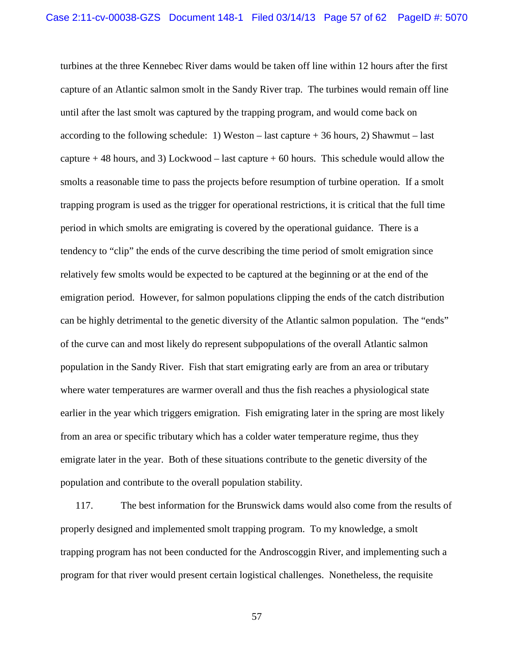turbines at the three Kennebec River dams would be taken off line within 12 hours after the first capture of an Atlantic salmon smolt in the Sandy River trap. The turbines would remain off line until after the last smolt was captured by the trapping program, and would come back on according to the following schedule: 1) Weston – last capture  $+36$  hours, 2) Shawmut – last capture  $+ 48$  hours, and 3) Lockwood – last capture  $+ 60$  hours. This schedule would allow the smolts a reasonable time to pass the projects before resumption of turbine operation. If a smolt trapping program is used as the trigger for operational restrictions, it is critical that the full time period in which smolts are emigrating is covered by the operational guidance. There is a tendency to "clip" the ends of the curve describing the time period of smolt emigration since relatively few smolts would be expected to be captured at the beginning or at the end of the emigration period. However, for salmon populations clipping the ends of the catch distribution can be highly detrimental to the genetic diversity of the Atlantic salmon population. The "ends" of the curve can and most likely do represent subpopulations of the overall Atlantic salmon population in the Sandy River. Fish that start emigrating early are from an area or tributary where water temperatures are warmer overall and thus the fish reaches a physiological state earlier in the year which triggers emigration. Fish emigrating later in the spring are most likely from an area or specific tributary which has a colder water temperature regime, thus they emigrate later in the year. Both of these situations contribute to the genetic diversity of the population and contribute to the overall population stability.

117. The best information for the Brunswick dams would also come from the results of properly designed and implemented smolt trapping program. To my knowledge, a smolt trapping program has not been conducted for the Androscoggin River, and implementing such a program for that river would present certain logistical challenges. Nonetheless, the requisite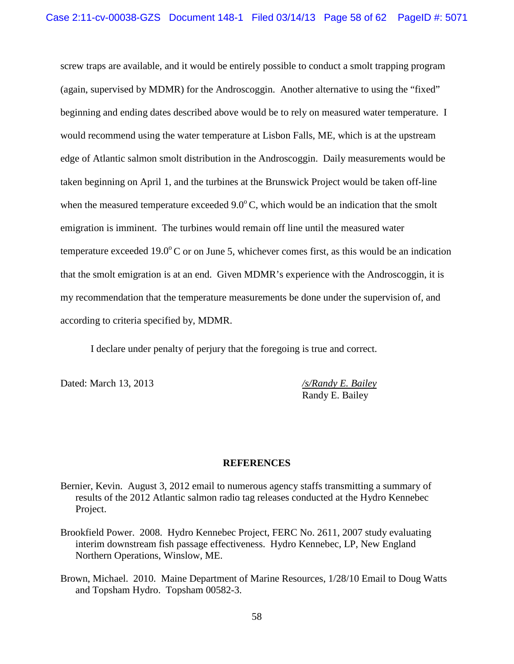screw traps are available, and it would be entirely possible to conduct a smolt trapping program (again, supervised by MDMR) for the Androscoggin. Another alternative to using the "fixed" beginning and ending dates described above would be to rely on measured water temperature. I would recommend using the water temperature at Lisbon Falls, ME, which is at the upstream edge of Atlantic salmon smolt distribution in the Androscoggin. Daily measurements would be taken beginning on April 1, and the turbines at the Brunswick Project would be taken off-line when the measured temperature exceeded  $9.0^{\circ}$ C, which would be an indication that the smolt emigration is imminent. The turbines would remain off line until the measured water temperature exceeded  $19.0^{\circ}$ C or on June 5, whichever comes first, as this would be an indication that the smolt emigration is at an end. Given MDMR's experience with the Androscoggin, it is my recommendation that the temperature measurements be done under the supervision of, and according to criteria specified by, MDMR.

I declare under penalty of perjury that the foregoing is true and correct.

Dated: March 13, 2013 */s/Randy E. Bailey*

Randy E. Bailey

### **REFERENCES**

- Bernier, Kevin. August 3, 2012 email to numerous agency staffs transmitting a summary of results of the 2012 Atlantic salmon radio tag releases conducted at the Hydro Kennebec Project.
- Brookfield Power. 2008. Hydro Kennebec Project, FERC No. 2611, 2007 study evaluating interim downstream fish passage effectiveness. Hydro Kennebec, LP, New England Northern Operations, Winslow, ME.
- Brown, Michael. 2010. Maine Department of Marine Resources, 1/28/10 Email to Doug Watts and Topsham Hydro. Topsham 00582-3.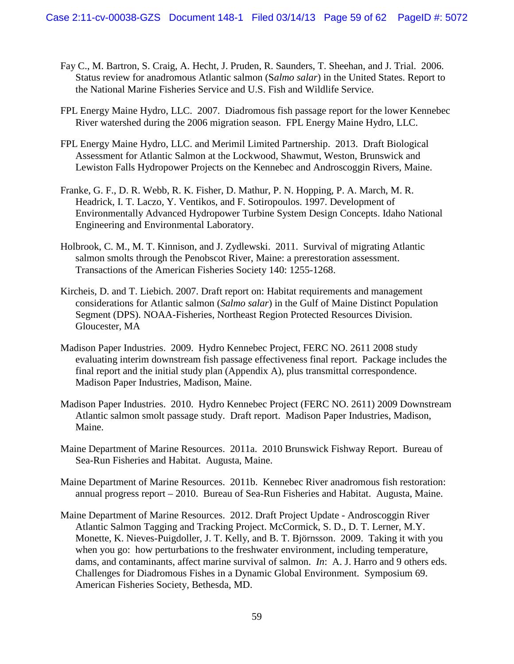- Fay C., M. Bartron, S. Craig, A. Hecht, J. Pruden, R. Saunders, T. Sheehan, and J. Trial. 2006. Status review for anadromous Atlantic salmon (S*almo salar*) in the United States. Report to the National Marine Fisheries Service and U.S. Fish and Wildlife Service.
- FPL Energy Maine Hydro, LLC. 2007. Diadromous fish passage report for the lower Kennebec River watershed during the 2006 migration season. FPL Energy Maine Hydro, LLC.
- FPL Energy Maine Hydro, LLC. and Merimil Limited Partnership. 2013. Draft Biological Assessment for Atlantic Salmon at the Lockwood, Shawmut, Weston, Brunswick and Lewiston Falls Hydropower Projects on the Kennebec and Androscoggin Rivers, Maine.
- Franke, G. F., D. R. Webb, R. K. Fisher, D. Mathur, P. N. Hopping, P. A. March, M. R. Headrick, I. T. Laczo, Y. Ventikos, and F. Sotiropoulos. 1997. Development of Environmentally Advanced Hydropower Turbine System Design Concepts. Idaho National Engineering and Environmental Laboratory.
- Holbrook, C. M., M. T. Kinnison, and J. Zydlewski. 2011. Survival of migrating Atlantic salmon smolts through the Penobscot River, Maine: a prerestoration assessment. Transactions of the American Fisheries Society 140: 1255-1268.
- Kircheis, D. and T. Liebich. 2007. Draft report on: Habitat requirements and management considerations for Atlantic salmon (*Salmo salar*) in the Gulf of Maine Distinct Population Segment (DPS). NOAA-Fisheries, Northeast Region Protected Resources Division. Gloucester, MA
- Madison Paper Industries. 2009. Hydro Kennebec Project, FERC NO. 2611 2008 study evaluating interim downstream fish passage effectiveness final report. Package includes the final report and the initial study plan (Appendix A), plus transmittal correspondence. Madison Paper Industries, Madison, Maine.
- Madison Paper Industries. 2010. Hydro Kennebec Project (FERC NO. 2611) 2009 Downstream Atlantic salmon smolt passage study. Draft report. Madison Paper Industries, Madison, Maine.
- Maine Department of Marine Resources. 2011a. 2010 Brunswick Fishway Report. Bureau of Sea-Run Fisheries and Habitat. Augusta, Maine.
- Maine Department of Marine Resources. 2011b. Kennebec River anadromous fish restoration: annual progress report – 2010. Bureau of Sea-Run Fisheries and Habitat. Augusta, Maine.
- Maine Department of Marine Resources. 2012. Draft Project Update Androscoggin River Atlantic Salmon Tagging and Tracking Project. McCormick, S. D., D. T. Lerner, M.Y. Monette, K. Nieves-Puigdoller, J. T. Kelly, and B. T. Björnsson. 2009. Taking it with you when you go: how perturbations to the freshwater environment, including temperature, dams, and contaminants, affect marine survival of salmon. *In*: A. J. Harro and 9 others eds. Challenges for Diadromous Fishes in a Dynamic Global Environment. Symposium 69. American Fisheries Society, Bethesda, MD.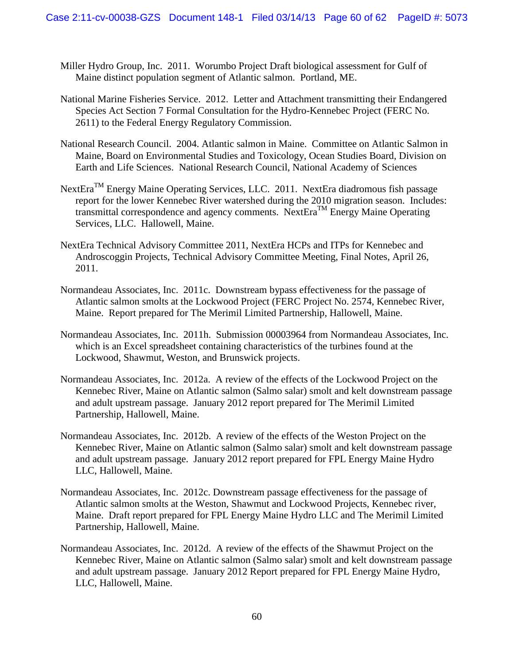- Miller Hydro Group, Inc. 2011. Worumbo Project Draft biological assessment for Gulf of Maine distinct population segment of Atlantic salmon. Portland, ME.
- National Marine Fisheries Service. 2012. Letter and Attachment transmitting their Endangered Species Act Section 7 Formal Consultation for the Hydro-Kennebec Project (FERC No. 2611) to the Federal Energy Regulatory Commission.
- National Research Council. 2004. Atlantic salmon in Maine. Committee on Atlantic Salmon in Maine, Board on Environmental Studies and Toxicology, Ocean Studies Board, Division on Earth and Life Sciences. National Research Council, National Academy of Sciences
- NextEra<sup>TM</sup> Energy Maine Operating Services, LLC. 2011. NextEra diadromous fish passage report for the lower Kennebec River watershed during the 2010 migration season. Includes: transmittal correspondence and agency comments. NextEraTM Energy Maine Operating Services, LLC. Hallowell, Maine.
- NextEra Technical Advisory Committee 2011, NextEra HCPs and ITPs for Kennebec and Androscoggin Projects, Technical Advisory Committee Meeting, Final Notes, April 26, 2011.
- Normandeau Associates, Inc. 2011c. Downstream bypass effectiveness for the passage of Atlantic salmon smolts at the Lockwood Project (FERC Project No. 2574, Kennebec River, Maine. Report prepared for The Merimil Limited Partnership, Hallowell, Maine.
- Normandeau Associates, Inc. 2011h. Submission 00003964 from Normandeau Associates, Inc. which is an Excel spreadsheet containing characteristics of the turbines found at the Lockwood, Shawmut, Weston, and Brunswick projects.
- Normandeau Associates, Inc. 2012a. A review of the effects of the Lockwood Project on the Kennebec River, Maine on Atlantic salmon (Salmo salar) smolt and kelt downstream passage and adult upstream passage. January 2012 report prepared for The Merimil Limited Partnership, Hallowell, Maine.
- Normandeau Associates, Inc. 2012b. A review of the effects of the Weston Project on the Kennebec River, Maine on Atlantic salmon (Salmo salar) smolt and kelt downstream passage and adult upstream passage. January 2012 report prepared for FPL Energy Maine Hydro LLC, Hallowell, Maine.
- Normandeau Associates, Inc. 2012c. Downstream passage effectiveness for the passage of Atlantic salmon smolts at the Weston, Shawmut and Lockwood Projects, Kennebec river, Maine. Draft report prepared for FPL Energy Maine Hydro LLC and The Merimil Limited Partnership, Hallowell, Maine.
- Normandeau Associates, Inc. 2012d. A review of the effects of the Shawmut Project on the Kennebec River, Maine on Atlantic salmon (Salmo salar) smolt and kelt downstream passage and adult upstream passage. January 2012 Report prepared for FPL Energy Maine Hydro, LLC, Hallowell, Maine.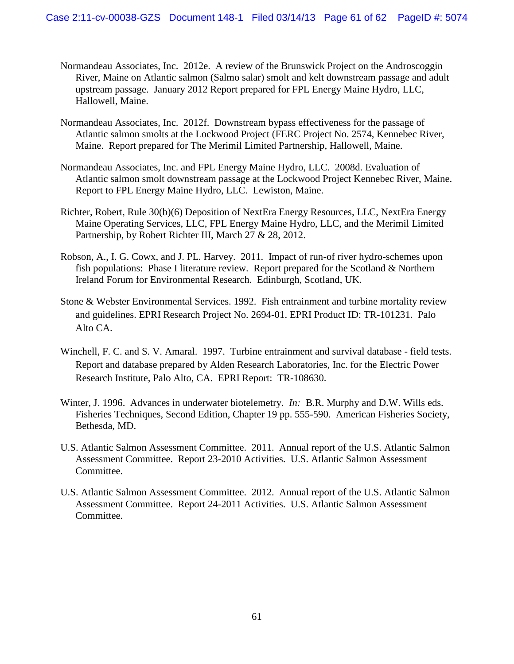- Normandeau Associates, Inc. 2012e. A review of the Brunswick Project on the Androscoggin River, Maine on Atlantic salmon (Salmo salar) smolt and kelt downstream passage and adult upstream passage. January 2012 Report prepared for FPL Energy Maine Hydro, LLC, Hallowell, Maine.
- Normandeau Associates, Inc. 2012f. Downstream bypass effectiveness for the passage of Atlantic salmon smolts at the Lockwood Project (FERC Project No. 2574, Kennebec River, Maine. Report prepared for The Merimil Limited Partnership, Hallowell, Maine.
- Normandeau Associates, Inc. and FPL Energy Maine Hydro, LLC. 2008d. Evaluation of Atlantic salmon smolt downstream passage at the Lockwood Project Kennebec River, Maine. Report to FPL Energy Maine Hydro, LLC. Lewiston, Maine.
- Richter, Robert, Rule 30(b)(6) Deposition of NextEra Energy Resources, LLC, NextEra Energy Maine Operating Services, LLC, FPL Energy Maine Hydro, LLC, and the Merimil Limited Partnership, by Robert Richter III, March 27 & 28, 2012.
- Robson, A., I. G. Cowx, and J. PL. Harvey. 2011. Impact of run-of river hydro-schemes upon fish populations: Phase I literature review. Report prepared for the Scotland & Northern Ireland Forum for Environmental Research. Edinburgh, Scotland, UK.
- Stone & Webster Environmental Services. 1992. Fish entrainment and turbine mortality review and guidelines. EPRI Research Project No. 2694-01. EPRI Product ID: TR-101231. Palo Alto CA.
- Winchell, F. C. and S. V. Amaral. 1997. Turbine entrainment and survival database field tests. Report and database prepared by Alden Research Laboratories, Inc. for the Electric Power Research Institute, Palo Alto, CA. EPRI Report: TR-108630.
- Winter, J. 1996. Advances in underwater biotelemetry. *In:* B.R. Murphy and D.W. Wills eds. Fisheries Techniques, Second Edition, Chapter 19 pp. 555-590. American Fisheries Society, Bethesda, MD.
- U.S. Atlantic Salmon Assessment Committee. 2011. Annual report of the U.S. Atlantic Salmon Assessment Committee. Report 23-2010 Activities. U.S. Atlantic Salmon Assessment Committee.
- U.S. Atlantic Salmon Assessment Committee. 2012. Annual report of the U.S. Atlantic Salmon Assessment Committee. Report 24-2011 Activities. U.S. Atlantic Salmon Assessment Committee.